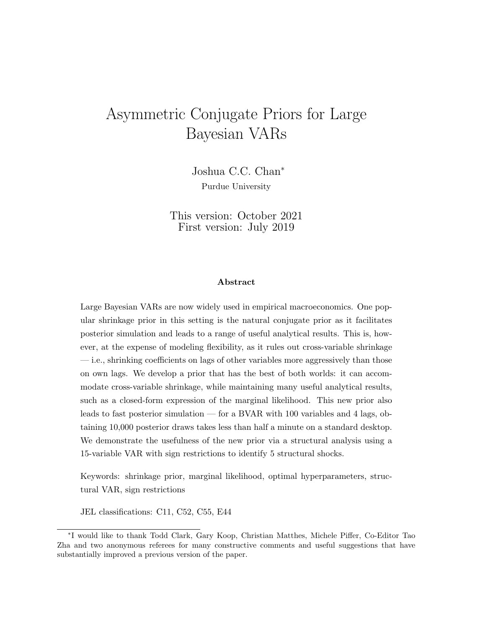# Asymmetric Conjugate Priors for Large Bayesian VARs

Joshua C.C. Chan<sup>∗</sup> Purdue University

This version: October 2021 First version: July 2019

#### Abstract

Large Bayesian VARs are now widely used in empirical macroeconomics. One popular shrinkage prior in this setting is the natural conjugate prior as it facilitates posterior simulation and leads to a range of useful analytical results. This is, however, at the expense of modeling flexibility, as it rules out cross-variable shrinkage — i.e., shrinking coefficients on lags of other variables more aggressively than those on own lags. We develop a prior that has the best of both worlds: it can accommodate cross-variable shrinkage, while maintaining many useful analytical results, such as a closed-form expression of the marginal likelihood. This new prior also leads to fast posterior simulation — for a BVAR with 100 variables and 4 lags, obtaining 10,000 posterior draws takes less than half a minute on a standard desktop. We demonstrate the usefulness of the new prior via a structural analysis using a 15-variable VAR with sign restrictions to identify 5 structural shocks.

Keywords: shrinkage prior, marginal likelihood, optimal hyperparameters, structural VAR, sign restrictions

JEL classifications: C11, C52, C55, E44

<sup>∗</sup> I would like to thank Todd Clark, Gary Koop, Christian Matthes, Michele Piffer, Co-Editor Tao Zha and two anonymous referees for many constructive comments and useful suggestions that have substantially improved a previous version of the paper.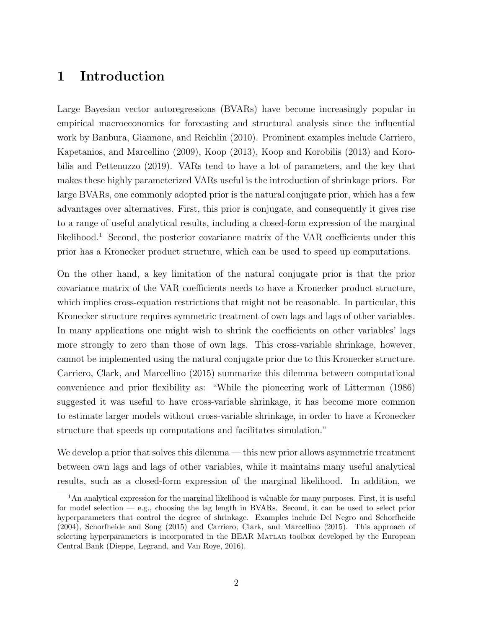### 1 Introduction

Large Bayesian vector autoregressions (BVARs) have become increasingly popular in empirical macroeconomics for forecasting and structural analysis since the influential work by Banbura, Giannone, and Reichlin (2010). Prominent examples include Carriero, Kapetanios, and Marcellino (2009), Koop (2013), Koop and Korobilis (2013) and Korobilis and Pettenuzzo (2019). VARs tend to have a lot of parameters, and the key that makes these highly parameterized VARs useful is the introduction of shrinkage priors. For large BVARs, one commonly adopted prior is the natural conjugate prior, which has a few advantages over alternatives. First, this prior is conjugate, and consequently it gives rise to a range of useful analytical results, including a closed-form expression of the marginal likelihood.<sup>1</sup> Second, the posterior covariance matrix of the VAR coefficients under this prior has a Kronecker product structure, which can be used to speed up computations.

On the other hand, a key limitation of the natural conjugate prior is that the prior covariance matrix of the VAR coefficients needs to have a Kronecker product structure, which implies cross-equation restrictions that might not be reasonable. In particular, this Kronecker structure requires symmetric treatment of own lags and lags of other variables. In many applications one might wish to shrink the coefficients on other variables' lags more strongly to zero than those of own lags. This cross-variable shrinkage, however, cannot be implemented using the natural conjugate prior due to this Kronecker structure. Carriero, Clark, and Marcellino (2015) summarize this dilemma between computational convenience and prior flexibility as: "While the pioneering work of Litterman (1986) suggested it was useful to have cross-variable shrinkage, it has become more common to estimate larger models without cross-variable shrinkage, in order to have a Kronecker structure that speeds up computations and facilitates simulation."

We develop a prior that solves this dilemma — this new prior allows asymmetric treatment between own lags and lags of other variables, while it maintains many useful analytical results, such as a closed-form expression of the marginal likelihood. In addition, we

<sup>&</sup>lt;sup>1</sup>An analytical expression for the marginal likelihood is valuable for many purposes. First, it is useful for model selection — e.g., choosing the lag length in BVARs. Second, it can be used to select prior hyperparameters that control the degree of shrinkage. Examples include Del Negro and Schorfheide (2004), Schorfheide and Song (2015) and Carriero, Clark, and Marcellino (2015). This approach of selecting hyperparameters is incorporated in the BEAR MATLAB toolbox developed by the European Central Bank (Dieppe, Legrand, and Van Roye, 2016).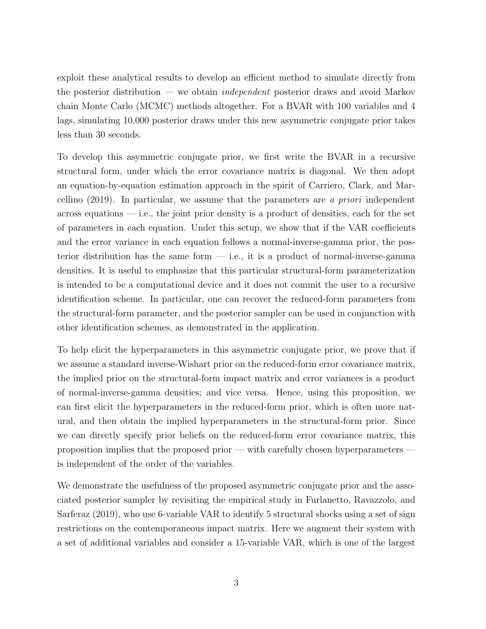exploit these analytical results to develop an efficient method to simulate directly from the posterior distribution — we obtain *independent* posterior draws and avoid Markov chain Monte Carlo (MCMC) methods altogether. For a BVAR with 100 variables and 4 lags, simulating 10,000 posterior draws under this new asymmetric conjugate prior takes less than 30 seconds.

To develop this asymmetric conjugate prior, we first write the BVAR in a recursive structural form, under which the error covariance matrix is diagonal. We then adopt an equation-by-equation estimation approach in the spirit of Carriero, Clark, and Marcellino  $(2019)$ . In particular, we assume that the parameters are a *priori* independent  $\alpha$  across equations — i.e., the joint prior density is a product of densities, each for the set of parameters in each equation. Under this setup, we show that if the VAR coefficients and the error variance in each equation follows a normal-inverse-gamma prior, the posterior distribution has the same form  $-$  i.e., it is a product of normal-inverse-gamma densities. It is useful to emphasize that this particular structural-form parameterization is intended to be a computational device and it does not commit the user to a recursive identification scheme. In particular, one can recover the reduced-form parameters from the structural-form parameter, and the posterior sampler can be used in conjunction with other identification schemes, as demonstrated in the application.

To help elicit the hyperparameters in this asymmetric conjugate prior, we prove that if we assume a standard inverse-Wishart prior on the reduced-form error covariance matrix, the implied prior on the structural-form impact matrix and error variances is a product of normal-inverse-gamma densities; and vice versa. Hence, using this proposition, we can first elicit the hyperparameters in the reduced-form prior, which is often more natural, and then obtain the implied hyperparameters in the structural-form prior. Since we can directly specify prior beliefs on the reduced-form error covariance matrix, this proposition implies that the proposed prior — with carefully chosen hyperparameters is independent of the order of the variables.

We demonstrate the usefulness of the proposed asymmetric conjugate prior and the associated posterior sampler by revisiting the empirical study in Furlanetto, Ravazzolo, and Sarferaz (2019), who use 6-variable VAR to identify 5 structural shocks using a set of sign restrictions on the contemporaneous impact matrix. Here we augment their system with a set of additional variables and consider a 15-variable VAR, which is one of the largest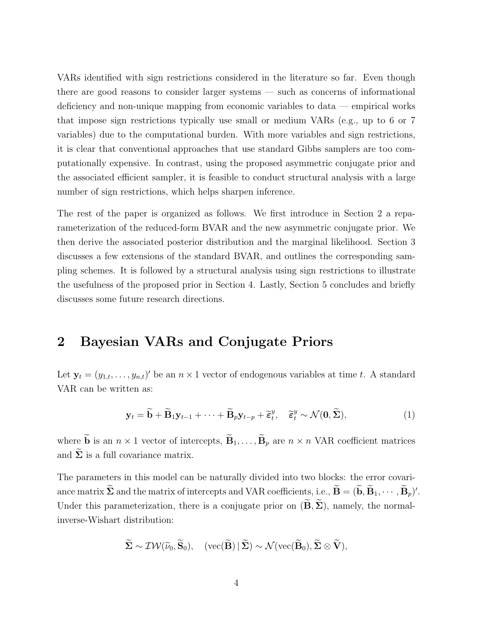VARs identified with sign restrictions considered in the literature so far. Even though there are good reasons to consider larger systems — such as concerns of informational deficiency and non-unique mapping from economic variables to data — empirical works that impose sign restrictions typically use small or medium VARs (e.g., up to 6 or 7 variables) due to the computational burden. With more variables and sign restrictions, it is clear that conventional approaches that use standard Gibbs samplers are too computationally expensive. In contrast, using the proposed asymmetric conjugate prior and the associated efficient sampler, it is feasible to conduct structural analysis with a large number of sign restrictions, which helps sharpen inference.

The rest of the paper is organized as follows. We first introduce in Section 2 a reparameterization of the reduced-form BVAR and the new asymmetric conjugate prior. We then derive the associated posterior distribution and the marginal likelihood. Section 3 discusses a few extensions of the standard BVAR, and outlines the corresponding sampling schemes. It is followed by a structural analysis using sign restrictions to illustrate the usefulness of the proposed prior in Section 4. Lastly, Section 5 concludes and briefly discusses some future research directions.

### 2 Bayesian VARs and Conjugate Priors

Let  $\mathbf{y}_t = (y_{1,t}, \dots, y_{n,t})'$  be an  $n \times 1$  vector of endogenous variables at time t. A standard VAR can be written as:

$$
\mathbf{y}_t = \widetilde{\mathbf{b}} + \widetilde{\mathbf{B}}_1 \mathbf{y}_{t-1} + \dots + \widetilde{\mathbf{B}}_p \mathbf{y}_{t-p} + \widetilde{\varepsilon}_t^y, \quad \widetilde{\varepsilon}_t^y \sim \mathcal{N}(\mathbf{0}, \widetilde{\boldsymbol{\Sigma}}), \tag{1}
$$

where  $\widetilde{\mathbf{b}}$  is an  $n \times 1$  vector of intercepts,  $\widetilde{\mathbf{B}}_1, \ldots, \widetilde{\mathbf{B}}_p$  are  $n \times n$  VAR coefficient matrices and  $\tilde{\Sigma}$  is a full covariance matrix.

The parameters in this model can be naturally divided into two blocks: the error covariance matrix  $\tilde{\Sigma}$  and the matrix of intercepts and VAR coefficients, i.e.,  $\tilde{\mathbf{B}} = (\tilde{\mathbf{b}}, \tilde{\mathbf{B}}_1, \cdots, \tilde{\mathbf{B}}_p)'$ . Under this parameterization, there is a conjugate prior on  $(\widetilde{\mathbf{B}}, \widetilde{\boldsymbol{\Sigma}})$ , namely, the normalinverse-Wishart distribution:

$$
\widetilde{\Sigma} \sim \mathcal{IW}(\widetilde{\nu}_0, \widetilde{\mathbf{S}}_0), \quad (\text{vec}(\widetilde{\mathbf{B}}) | \widetilde{\Sigma}) \sim \mathcal{N}(\text{vec}(\widetilde{\mathbf{B}}_0), \widetilde{\Sigma} \otimes \widetilde{\mathbf{V}}),
$$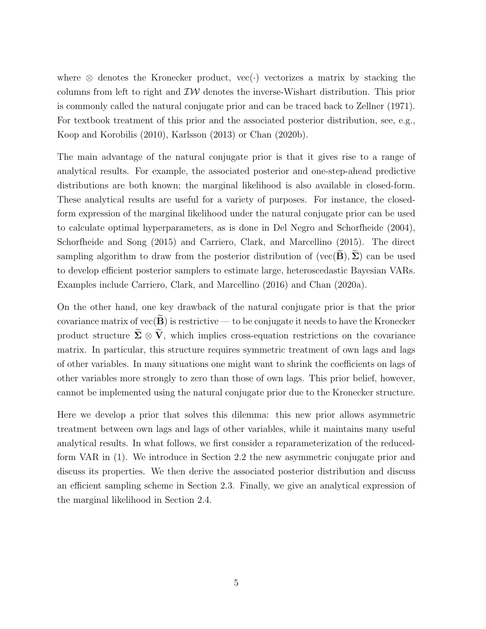where  $\otimes$  denotes the Kronecker product, vec(·) vectorizes a matrix by stacking the columns from left to right and  $\mathcal{IW}$  denotes the inverse-Wishart distribution. This prior is commonly called the natural conjugate prior and can be traced back to Zellner (1971). For textbook treatment of this prior and the associated posterior distribution, see, e.g., Koop and Korobilis (2010), Karlsson (2013) or Chan (2020b).

The main advantage of the natural conjugate prior is that it gives rise to a range of analytical results. For example, the associated posterior and one-step-ahead predictive distributions are both known; the marginal likelihood is also available in closed-form. These analytical results are useful for a variety of purposes. For instance, the closedform expression of the marginal likelihood under the natural conjugate prior can be used to calculate optimal hyperparameters, as is done in Del Negro and Schorfheide (2004), Schorfheide and Song (2015) and Carriero, Clark, and Marcellino (2015). The direct sampling algorithm to draw from the posterior distribution of (vec( $\mathbf{B}$ ),  $\Sigma$ ) can be used to develop efficient posterior samplers to estimate large, heteroscedastic Bayesian VARs. Examples include Carriero, Clark, and Marcellino (2016) and Chan (2020a).

On the other hand, one key drawback of the natural conjugate prior is that the prior covariance matrix of vec $(\widetilde{\mathbf{B}})$  is restrictive — to be conjugate it needs to have the Kronecker product structure  $\widetilde{\Sigma} \otimes \widetilde{V}$ , which implies cross-equation restrictions on the covariance matrix. In particular, this structure requires symmetric treatment of own lags and lags of other variables. In many situations one might want to shrink the coefficients on lags of other variables more strongly to zero than those of own lags. This prior belief, however, cannot be implemented using the natural conjugate prior due to the Kronecker structure.

Here we develop a prior that solves this dilemma: this new prior allows asymmetric treatment between own lags and lags of other variables, while it maintains many useful analytical results. In what follows, we first consider a reparameterization of the reducedform VAR in (1). We introduce in Section 2.2 the new asymmetric conjugate prior and discuss its properties. We then derive the associated posterior distribution and discuss an efficient sampling scheme in Section 2.3. Finally, we give an analytical expression of the marginal likelihood in Section 2.4.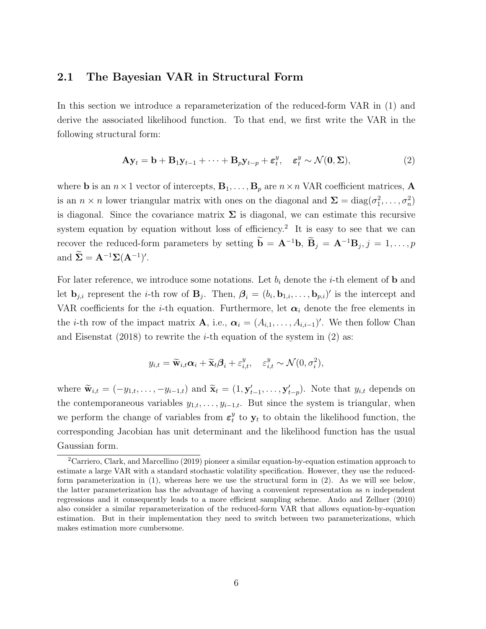#### 2.1 The Bayesian VAR in Structural Form

In this section we introduce a reparameterization of the reduced-form VAR in (1) and derive the associated likelihood function. To that end, we first write the VAR in the following structural form:

$$
\mathbf{A}\mathbf{y}_t = \mathbf{b} + \mathbf{B}_1 \mathbf{y}_{t-1} + \dots + \mathbf{B}_p \mathbf{y}_{t-p} + \varepsilon_t^y, \quad \varepsilon_t^y \sim \mathcal{N}(\mathbf{0}, \Sigma),
$$
 (2)

where **b** is an  $n \times 1$  vector of intercepts,  $\mathbf{B}_1, \ldots, \mathbf{B}_p$  are  $n \times n$  VAR coefficient matrices, **A** is an  $n \times n$  lower triangular matrix with ones on the diagonal and  $\Sigma = \text{diag}(\sigma_1^2, \ldots, \sigma_n^2)$ is diagonal. Since the covariance matrix  $\Sigma$  is diagonal, we can estimate this recursive system equation by equation without loss of efficiency.<sup>2</sup> It is easy to see that we can recover the reduced-form parameters by setting  $\dot{\mathbf{b}} = \mathbf{A}^{-1}\mathbf{b}$ ,  $\dot{\mathbf{B}}_j = \mathbf{A}^{-1}\mathbf{B}_j$ ,  $j = 1, \ldots, p$ and  $\widetilde{\Sigma} = \mathbf{A}^{-1} \Sigma (\mathbf{A}^{-1})'.$ 

For later reference, we introduce some notations. Let  $b_i$  denote the *i*-th element of **b** and let  $\mathbf{b}_{j,i}$  represent the *i*-th row of  $\mathbf{B}_j$ . Then,  $\boldsymbol{\beta}_i = (b_i, \mathbf{b}_{1,i}, \ldots, \mathbf{b}_{p,i})'$  is the intercept and VAR coefficients for the *i*-th equation. Furthermore, let  $\alpha_i$  denote the free elements in the *i*-th row of the impact matrix **A**, i.e.,  $\boldsymbol{\alpha}_i = (A_{i,1}, \ldots, A_{i,i-1})'$ . We then follow Chan and Eisenstat (2018) to rewrite the *i*-th equation of the system in (2) as:

$$
y_{i,t} = \widetilde{\mathbf{w}}_{i,t} \alpha_i + \widetilde{\mathbf{x}}_t \boldsymbol{\beta}_i + \varepsilon_{i,t}^y, \quad \varepsilon_{i,t}^y \sim \mathcal{N}(0, \sigma_i^2),
$$

where  $\widetilde{\mathbf{w}}_{i,t} = (-y_{1,t}, \dots, -y_{i-1,t})$  and  $\widetilde{\mathbf{x}}_t = (1, \mathbf{y}'_{t-1}, \dots, \mathbf{y}'_{t-p})$ . Note that  $y_{i,t}$  depends on the contemporaneous variables  $y_{1,t}, \ldots, y_{i-1,t}$ . But since the system is triangular, when we perform the change of variables from  $\varepsilon_t^y$  $t_t^y$  to  $\mathbf{y}_t$  to obtain the likelihood function, the corresponding Jacobian has unit determinant and the likelihood function has the usual Gaussian form.

<sup>2</sup>Carriero, Clark, and Marcellino (2019) pioneer a similar equation-by-equation estimation approach to estimate a large VAR with a standard stochastic volatility specification. However, they use the reducedform parameterization in (1), whereas here we use the structural form in (2). As we will see below, the latter parameterization has the advantage of having a convenient representation as  $n$  independent regressions and it consequently leads to a more efficient sampling scheme. Ando and Zellner (2010) also consider a similar reparameterization of the reduced-form VAR that allows equation-by-equation estimation. But in their implementation they need to switch between two parameterizations, which makes estimation more cumbersome.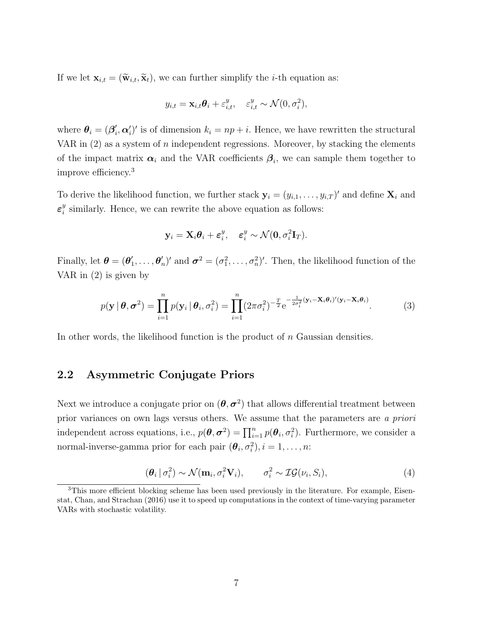If we let  $\mathbf{x}_{i,t} = (\widetilde{\mathbf{w}}_{i,t}, \widetilde{\mathbf{x}}_t)$ , we can further simplify the *i*-th equation as:

$$
y_{i,t} = \mathbf{x}_{i,t}\boldsymbol{\theta}_i + \varepsilon_{i,t}^y, \quad \varepsilon_{i,t}^y \sim \mathcal{N}(0, \sigma_i^2),
$$

where  $\boldsymbol{\theta}_i = (\boldsymbol{\beta}_i^\prime)$  $i'$ ,  $\alpha'_{i}$ )' is of dimension  $k_{i} = np + i$ . Hence, we have rewritten the structural VAR in  $(2)$  as a system of n independent regressions. Moreover, by stacking the elements of the impact matrix  $\alpha_i$  and the VAR coefficients  $\beta_i$ , we can sample them together to improve efficiency.<sup>3</sup>

To derive the likelihood function, we further stack  $y_i = (y_{i,1}, \ldots, y_{i,T})'$  and define  $\mathbf{X}_i$  and  $\boldsymbol{\varepsilon}^y_i$  $\frac{y}{i}$  similarly. Hence, we can rewrite the above equation as follows:

$$
\mathbf{y}_i = \mathbf{X}_i \boldsymbol{\theta}_i + \boldsymbol{\varepsilon}^y_i, \quad \boldsymbol{\varepsilon}^y_i \sim \mathcal{N}(\mathbf{0}, \sigma^2_i \mathbf{I}_T).
$$

Finally, let  $\boldsymbol{\theta} = (\boldsymbol{\theta}_1^T)$  $_{1}^{\prime},\ldots,\boldsymbol{\theta}_{\eta}^{\prime}$ ',  $\sigma^2 = (\sigma_1^2, \ldots, \sigma_n^2)'$ . Then, the likelihood function of the VAR in (2) is given by

$$
p(\mathbf{y} \mid \boldsymbol{\theta}, \boldsymbol{\sigma}^2) = \prod_{i=1}^n p(\mathbf{y}_i \mid \boldsymbol{\theta}_i, \sigma_i^2) = \prod_{i=1}^n (2\pi\sigma_i^2)^{-\frac{T}{2}} e^{-\frac{1}{2\sigma_i^2}(\mathbf{y}_i - \mathbf{X}_i\boldsymbol{\theta}_i)'(\mathbf{y}_i - \mathbf{X}_i\boldsymbol{\theta}_i)}.
$$
(3)

In other words, the likelihood function is the product of n Gaussian densities.

#### 2.2 Asymmetric Conjugate Priors

Next we introduce a conjugate prior on  $(\theta, \sigma^2)$  that allows differential treatment between prior variances on own lags versus others. We assume that the parameters are a priori independent across equations, i.e.,  $p(\theta, \sigma^2) = \prod_{i=1}^n p(\theta_i, \sigma_i^2)$ . Furthermore, we consider a normal-inverse-gamma prior for each pair  $(\theta_i, \sigma_i^2), i = 1, \ldots, n$ :

$$
(\boldsymbol{\theta}_i | \sigma_i^2) \sim \mathcal{N}(\mathbf{m}_i, \sigma_i^2 \mathbf{V}_i), \qquad \sigma_i^2 \sim \mathcal{IG}(\nu_i, S_i), \tag{4}
$$

<sup>&</sup>lt;sup>3</sup>This more efficient blocking scheme has been used previously in the literature. For example, Eisenstat, Chan, and Strachan (2016) use it to speed up computations in the context of time-varying parameter VARs with stochastic volatility.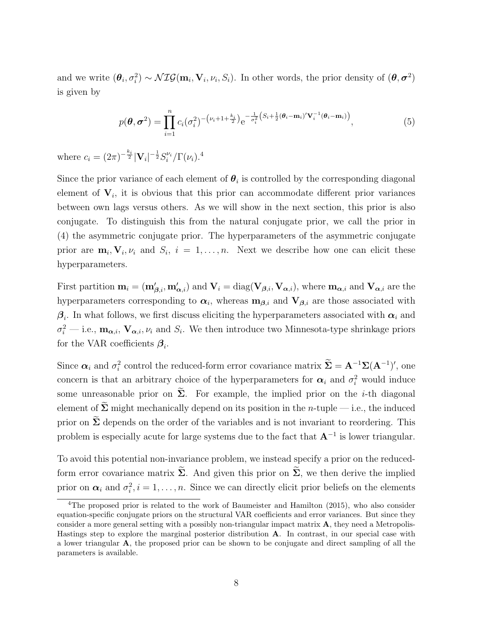and we write  $(\theta_i, \sigma_i^2) \sim \mathcal{NIG}(\mathbf{m}_i, \mathbf{V}_i, \nu_i, S_i)$ . In other words, the prior density of  $(\theta, \sigma^2)$ is given by

$$
p(\theta, \sigma^2) = \prod_{i=1}^n c_i (\sigma_i^2)^{-\left(\nu_i + 1 + \frac{k_i}{2}\right)} e^{-\frac{1}{\sigma_i^2} \left(S_i + \frac{1}{2}(\theta_i - m_i)'\mathbf{V}_i^{-1}(\theta_i - m_i)\right)},
$$
\n(5)

where  $c_i = (2\pi)^{-\frac{k_i}{2}} |\mathbf{V}_i|^{-\frac{1}{2}} S_i^{\nu_i} / \Gamma(\nu_i)$ .<sup>4</sup>

Since the prior variance of each element of  $\theta_i$  is controlled by the corresponding diagonal element of  $V_i$ , it is obvious that this prior can accommodate different prior variances between own lags versus others. As we will show in the next section, this prior is also conjugate. To distinguish this from the natural conjugate prior, we call the prior in (4) the asymmetric conjugate prior. The hyperparameters of the asymmetric conjugate prior are  $\mathbf{m}_i, \mathbf{V}_i, \nu_i$  and  $S_i, i = 1, \ldots, n$ . Next we describe how one can elicit these hyperparameters.

First partition  $\mathbf{m}_i = (\mathbf{m}'_{\boldsymbol{\beta},i}, \mathbf{m}'_{\boldsymbol{\alpha},i})$  and  $\mathbf{V}_i = \text{diag}(\mathbf{V}_{\boldsymbol{\beta},i}, \mathbf{V}_{\boldsymbol{\alpha},i})$ , where  $\mathbf{m}_{\boldsymbol{\alpha},i}$  and  $\mathbf{V}_{\boldsymbol{\alpha},i}$  are the hyperparameters corresponding to  $\alpha_i$ , whereas  $m_{\beta,i}$  and  $V_{\beta,i}$  are those associated with  $\beta_i$ . In what follows, we first discuss eliciting the hyperparameters associated with  $\alpha_i$  and  $\sigma_i^2$  — i.e.,  $\mathbf{m}_{\alpha,i}$ ,  $\mathbf{V}_{\alpha,i}$ ,  $\nu_i$  and  $S_i$ . We then introduce two Minnesota-type shrinkage priors for the VAR coefficients  $\beta_i$ .

Since  $\alpha_i$  and  $\sigma_i^2$  control the reduced-form error covariance matrix  $\hat{\Sigma} = A^{-1}\Sigma(A^{-1})'$ , one concern is that an arbitrary choice of the hyperparameters for  $\alpha_i$  and  $\sigma_i^2$  would induce some unreasonable prior on  $\widetilde{\Sigma}$ . For example, the implied prior on the *i*-th diagonal element of  $\tilde{\Sigma}$  might mechanically depend on its position in the *n*-tuple — i.e., the induced prior on  $\Sigma$  depends on the order of the variables and is not invariant to reordering. This problem is especially acute for large systems due to the fact that  $A^{-1}$  is lower triangular.

To avoid this potential non-invariance problem, we instead specify a prior on the reducedform error covariance matrix  $\widetilde{\Sigma}$ . And given this prior on  $\widetilde{\Sigma}$ , we then derive the implied prior on  $\alpha_i$  and  $\sigma_i^2$ ,  $i = 1, \ldots, n$ . Since we can directly elicit prior beliefs on the elements

<sup>4</sup>The proposed prior is related to the work of Baumeister and Hamilton (2015), who also consider equation-specific conjugate priors on the structural VAR coefficients and error variances. But since they consider a more general setting with a possibly non-triangular impact matrix A, they need a Metropolis-Hastings step to explore the marginal posterior distribution A. In contrast, in our special case with a lower triangular A, the proposed prior can be shown to be conjugate and direct sampling of all the parameters is available.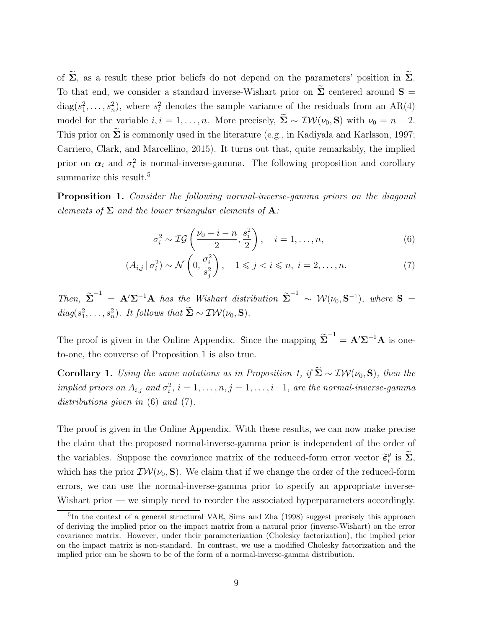of  $\widetilde{\Sigma}$ , as a result these prior beliefs do not depend on the parameters' position in  $\widetilde{\Sigma}$ . To that end, we consider a standard inverse-Wishart prior on  $\tilde{\Sigma}$  centered around  $S =$  $diag(s_1^2, \ldots, s_n^2)$ , where  $s_i^2$  denotes the sample variance of the residuals from an AR(4) model for the variable  $i, i = 1, ..., n$ . More precisely,  $\widetilde{\Sigma} \sim \mathcal{IW}(\nu_0, \mathbf{S})$  with  $\nu_0 = n + 2$ . This prior on  $\widetilde{\Sigma}$  is commonly used in the literature (e.g., in Kadiyala and Karlsson, 1997; Carriero, Clark, and Marcellino, 2015). It turns out that, quite remarkably, the implied prior on  $\alpha_i$  and  $\sigma_i^2$  is normal-inverse-gamma. The following proposition and corollary summarize this result.<sup>5</sup>

Proposition 1. Consider the following normal-inverse-gamma priors on the diagonal elements of  $\Sigma$  and the lower triangular elements of  $A$ :

$$
\sigma_i^2 \sim \mathcal{IG}\left(\frac{\nu_0 + i - n}{2}, \frac{s_i^2}{2}\right), \quad i = 1, \dots, n,
$$
\n<sup>(6)</sup>

$$
(A_{i,j} \mid \sigma_i^2) \sim \mathcal{N}\left(0, \frac{\sigma_i^2}{s_j^2}\right), \quad 1 \leqslant j < i \leqslant n, \ i = 2, \dots, n. \tag{7}
$$

Then,  $\tilde{\Sigma}^{-1} = A' \Sigma^{-1} A$  has the Wishart distribution  $\tilde{\Sigma}^{-1} \sim \mathcal{W}(\nu_0, \mathbf{S}^{-1})$ , where  $\mathbf{S} =$  $diag(s_1^2, \ldots, s_n^2)$ . It follows that  $\overline{\Sigma} \sim \mathcal{IW}(\nu_0, \mathbf{S})$ .

The proof is given in the Online Appendix. Since the mapping  $\tilde{\Sigma}^{-1} = A' \Sigma^{-1} A$  is oneto-one, the converse of Proposition 1 is also true.

**Corollary 1.** Using the same notations as in Proposition 1, if  $\widetilde{\Sigma} \sim \mathcal{IW}(\nu_0, \mathbf{S})$ , then the implied priors on  $A_{i,j}$  and  $\sigma_i^2$ ,  $i = 1, \ldots, n, j = 1, \ldots, i-1$ , are the normal-inverse-gamma distributions given in (6) and (7).

The proof is given in the Online Appendix. With these results, we can now make precise the claim that the proposed normal-inverse-gamma prior is independent of the order of the variables. Suppose the covariance matrix of the reduced-form error vector  $\tilde{\epsilon}_t^y$  $_{t}^{y}$  is  $\Sigma$ , which has the prior  $\mathcal{IW}(\nu_0, \mathbf{S})$ . We claim that if we change the order of the reduced-form errors, we can use the normal-inverse-gamma prior to specify an appropriate inverse-Wishart prior — we simply need to reorder the associated hyperparameters accordingly.

<sup>&</sup>lt;sup>5</sup>In the context of a general structural VAR, Sims and Zha (1998) suggest precisely this approach of deriving the implied prior on the impact matrix from a natural prior (inverse-Wishart) on the error covariance matrix. However, under their parameterization (Cholesky factorization), the implied prior on the impact matrix is non-standard. In contrast, we use a modified Cholesky factorization and the implied prior can be shown to be of the form of a normal-inverse-gamma distribution.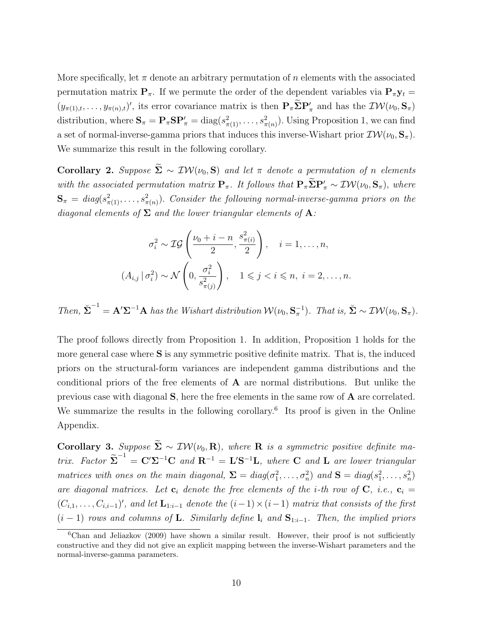More specifically, let  $\pi$  denote an arbitrary permutation of n elements with the associated permutation matrix  $P_{\pi}$ . If we permute the order of the dependent variables via  $P_{\pi}y_t =$  $(y_{\pi(1),t},\ldots,y_{\pi(n),t})'$ , its error covariance matrix is then  $\mathbf{P}_{\pi}\Sigma\mathbf{P}'_{\pi}$  and has the  $\mathcal{IW}(\nu_0,\mathbf{S}_{\pi})$ distribution, where  $S_{\pi} = P_{\pi} S P'_{\pi} = \text{diag}(s_{\pi(1)}^2, \dots, s_{\pi(n)}^2)$ . Using Proposition 1, we can find a set of normal-inverse-gamma priors that induces this inverse-Wishart prior  $\mathcal{IW}(\nu_0, \mathbf{S}_\pi)$ . We summarize this result in the following corollary.

Corollary 2. Suppose  $\widetilde{\Sigma} \sim \mathcal{IW}(\nu_0, S)$  and let  $\pi$  denote a permutation of n elements with the associated permutation matrix  $P_{\pi}$ . It follows that  $P_{\pi} \Sigma P'_{\pi} \sim \mathcal{IW}(\nu_0, S_{\pi})$ , where  ${\bf S}_{\pi} = \textit{diag}(s^2_{\pi(1)}, \ldots, s^2_{\pi(n)})$ . Consider the following normal-inverse-gamma priors on the diagonal elements of  $\Sigma$  and the lower triangular elements of  $A$ :

$$
\sigma_i^2 \sim \mathcal{IG}\left(\frac{\nu_0 + i - n}{2}, \frac{s_{\pi(i)}^2}{2}\right), \quad i = 1, \dots, n,
$$
  

$$
(A_{i,j} | \sigma_i^2) \sim \mathcal{N}\left(0, \frac{\sigma_i^2}{s_{\pi(j)}^2}\right), \quad 1 \leqslant j < i \leqslant n, \ i = 2, \dots, n.
$$

Then,  $\check{\Sigma}^{-1} = A' \Sigma^{-1} A$  has the Wishart distribution  $W(\nu_0, S_\pi^{-1})$ . That is,  $\check{\Sigma} \sim \mathcal{IW}(\nu_0, S_\pi)$ .

The proof follows directly from Proposition 1. In addition, Proposition 1 holds for the more general case where S is any symmetric positive definite matrix. That is, the induced priors on the structural-form variances are independent gamma distributions and the conditional priors of the free elements of A are normal distributions. But unlike the previous case with diagonal S, here the free elements in the same row of A are correlated. We summarize the results in the following corollary.<sup>6</sup> Its proof is given in the Online Appendix.

Corollary 3. Suppose  $\widetilde{\Sigma} \sim \mathcal{IW}(\nu_0, \mathbf{R})$ , where **R** is a symmetric positive definite matrix. Factor  $\tilde{\Sigma}^{-1} = C'\Sigma^{-1}C$  and  $R^{-1} = L'S^{-1}L$ , where C and L are lower triangular matrices with ones on the main diagonal,  $\Sigma = diag(\sigma_1^2, \ldots, \sigma_n^2)$  and  $S = diag(s_1^2, \ldots, s_n^2)$ are diagonal matrices. Let  $\mathbf{c}_i$  denote the free elements of the *i*-th row of  $\mathbf{C}$ , *i.e.*,  $\mathbf{c}_i =$  $(C_{i,1},\ldots,C_{i,i-1})'$ , and let  $\mathbf{L}_{1:i-1}$  denote the  $(i-1)\times(i-1)$  matrix that consists of the first  $(i - 1)$  rows and columns of **L**. Similarly define  $\mathbf{l}_i$  and  $\mathbf{S}_{1:i-1}$ . Then, the implied priors

 $6$ Chan and Jeliazkov (2009) have shown a similar result. However, their proof is not sufficiently constructive and they did not give an explicit mapping between the inverse-Wishart parameters and the normal-inverse-gamma parameters.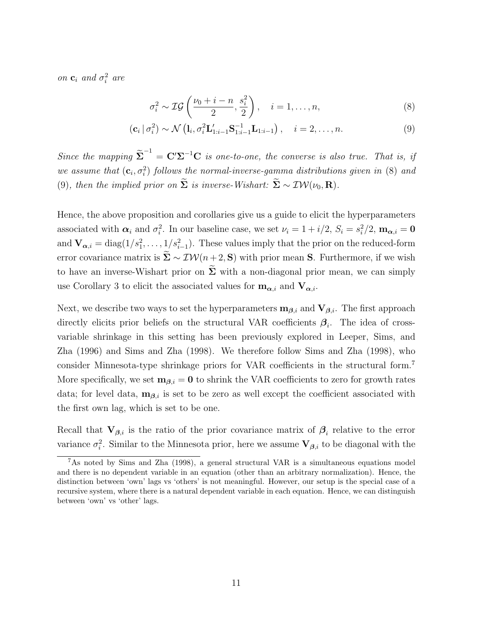on  $\mathbf{c}_i$  and  $\sigma_i^2$  are

$$
\sigma_i^2 \sim \mathcal{IG}\left(\frac{\nu_0 + i - n}{2}, \frac{s_i^2}{2}\right), \quad i = 1, \dots, n,\tag{8}
$$

$$
\left(\mathbf{c}_{i} \,|\, \sigma_{i}^{2}\right) \sim \mathcal{N}\left(\mathbf{l}_{i}, \sigma_{i}^{2} \mathbf{L}'_{1:i-1} \mathbf{S}_{1:i-1}^{-1} \mathbf{L}_{1:i-1}\right), \quad i = 2, \ldots, n. \tag{9}
$$

Since the mapping  $\tilde{\Sigma}^{-1} = \mathbf{C}' \Sigma^{-1} \mathbf{C}$  is one-to-one, the converse is also true. That is, if we assume that  $(c_i, \sigma_i^2)$  follows the normal-inverse-gamma distributions given in (8) and (9), then the implied prior on  $\widetilde{\Sigma}$  is inverse-Wishart:  $\widetilde{\Sigma} \sim \mathcal{IW}(\nu_0, \mathbf{R})$ .

Hence, the above proposition and corollaries give us a guide to elicit the hyperparameters associated with  $\alpha_i$  and  $\sigma_i^2$ . In our baseline case, we set  $\nu_i = 1 + i/2$ ,  $S_i = s_i^2/2$ ,  $\mathbf{m}_{\alpha,i} = \mathbf{0}$ and  $\mathbf{V}_{\alpha,i} = \text{diag}(1/s_1^2, \ldots, 1/s_{i-1}^2)$ . These values imply that the prior on the reduced-form error covariance matrix is  $\Sigma \sim \mathcal{IW}(n+2, \mathbf{S})$  with prior mean S. Furthermore, if we wish to have an inverse-Wishart prior on  $\Sigma$  with a non-diagonal prior mean, we can simply use Corollary 3 to elicit the associated values for  $\mathbf{m}_{\alpha,i}$  and  $\mathbf{V}_{\alpha,i}$ .

Next, we describe two ways to set the hyperparameters  $\mathbf{m}_{\beta,i}$  and  $\mathbf{V}_{\beta,i}$ . The first approach directly elicits prior beliefs on the structural VAR coefficients  $\beta_i$ . The idea of crossvariable shrinkage in this setting has been previously explored in Leeper, Sims, and Zha (1996) and Sims and Zha (1998). We therefore follow Sims and Zha (1998), who consider Minnesota-type shrinkage priors for VAR coefficients in the structural form.<sup>7</sup> More specifically, we set  $\mathbf{m}_{\beta,i} = \mathbf{0}$  to shrink the VAR coefficients to zero for growth rates data; for level data,  $\mathbf{m}_{\beta,i}$  is set to be zero as well except the coefficient associated with the first own lag, which is set to be one.

Recall that  $V_{\beta,i}$  is the ratio of the prior covariance matrix of  $\beta_i$  relative to the error variance  $\sigma_i^2$ . Similar to the Minnesota prior, here we assume  $V_{\beta,i}$  to be diagonal with the

<sup>7</sup>As noted by Sims and Zha (1998), a general structural VAR is a simultaneous equations model and there is no dependent variable in an equation (other than an arbitrary normalization). Hence, the distinction between 'own' lags vs 'others' is not meaningful. However, our setup is the special case of a recursive system, where there is a natural dependent variable in each equation. Hence, we can distinguish between 'own' vs 'other' lags.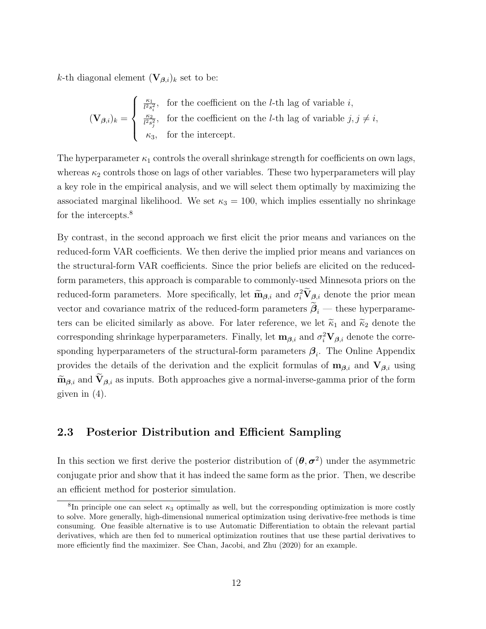k-th diagonal element  $(\mathbf{V}_{\boldsymbol{\beta},i})_k$  set to be:

$$
(\mathbf{V}_{\beta,i})_k = \begin{cases} \frac{\kappa_1}{l^2 s_i^2}, & \text{for the coefficient on the } l\text{-th lag of variable } i, \\ \frac{\kappa_2}{l^2 s_j^2}, & \text{for the coefficient on the } l\text{-th lag of variable } j, j \neq i, \\ \kappa_3, & \text{for the intercept.} \end{cases}
$$

The hyperparameter  $\kappa_1$  controls the overall shrinkage strength for coefficients on own lags, whereas  $\kappa_2$  controls those on lags of other variables. These two hyperparameters will play a key role in the empirical analysis, and we will select them optimally by maximizing the associated marginal likelihood. We set  $\kappa_3 = 100$ , which implies essentially no shrinkage for the intercepts.<sup>8</sup>

By contrast, in the second approach we first elicit the prior means and variances on the reduced-form VAR coefficients. We then derive the implied prior means and variances on the structural-form VAR coefficients. Since the prior beliefs are elicited on the reducedform parameters, this approach is comparable to commonly-used Minnesota priors on the reduced-form parameters. More specifically, let  $\widetilde{m}_{\beta,i}$  and  $\sigma_i^2 \widetilde{V}_{\beta,i}$  denote the prior mean vector and covariance matrix of the reduced-form parameters  $\beta_i$  — these hyperparameters can be elicited similarly as above. For later reference, we let  $\tilde{\kappa}_1$  and  $\tilde{\kappa}_2$  denote the corresponding shrinkage hyperparameters. Finally, let  $\mathbf{m}_{\beta,i}$  and  $\sigma_i^2 \mathbf{V}_{\beta,i}$  denote the corresponding hyperparameters of the structural-form parameters  $\beta_i$ . The Online Appendix provides the details of the derivation and the explicit formulas of  $\mathbf{m}_{\beta,i}$  and  $\mathbf{V}_{\beta,i}$  using  $\widetilde{\mathbf{m}}_{\beta,i}$  and  $\widetilde{\mathbf{V}}_{\beta,i}$  as inputs. Both approaches give a normal-inverse-gamma prior of the form given in (4).

#### 2.3 Posterior Distribution and Efficient Sampling

In this section we first derive the posterior distribution of  $(\theta, \sigma^2)$  under the asymmetric conjugate prior and show that it has indeed the same form as the prior. Then, we describe an efficient method for posterior simulation.

<sup>&</sup>lt;sup>8</sup>In principle one can select  $\kappa_3$  optimally as well, but the corresponding optimization is more costly to solve. More generally, high-dimensional numerical optimization using derivative-free methods is time consuming. One feasible alternative is to use Automatic Differentiation to obtain the relevant partial derivatives, which are then fed to numerical optimization routines that use these partial derivatives to more efficiently find the maximizer. See Chan, Jacobi, and Zhu (2020) for an example.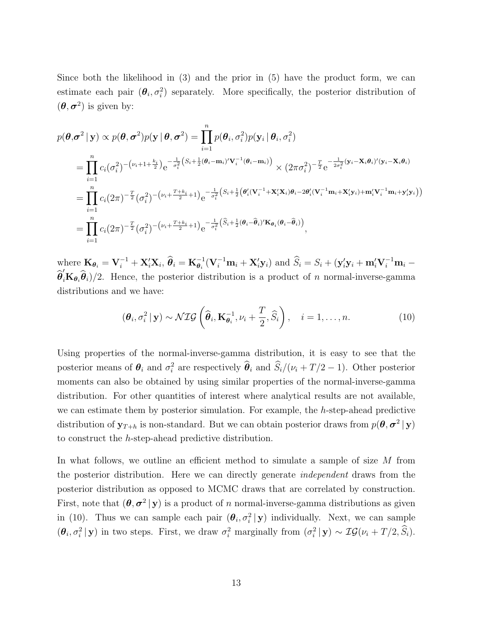Since both the likelihood in (3) and the prior in (5) have the product form, we can estimate each pair  $(\theta_i, \sigma_i^2)$  separately. More specifically, the posterior distribution of  $(\theta, \sigma^2)$  is given by:

$$
p(\boldsymbol{\theta}, \boldsymbol{\sigma}^2 | \mathbf{y}) \propto p(\boldsymbol{\theta}, \boldsymbol{\sigma}^2) p(\mathbf{y} | \boldsymbol{\theta}, \boldsymbol{\sigma}^2) = \prod_{i=1}^n p(\boldsymbol{\theta}_i, \sigma_i^2) p(\mathbf{y}_i | \boldsymbol{\theta}_i, \sigma_i^2)
$$
  
\n
$$
= \prod_{i=1}^n c_i(\sigma_i^2)^{-(\nu_i + 1 + \frac{k_i}{2})} e^{-\frac{1}{\sigma_i^2} (S_i + \frac{1}{2}(\boldsymbol{\theta}_i - \mathbf{m}_i)' \mathbf{V}_i^{-1}(\boldsymbol{\theta}_i - \mathbf{m}_i))} \times (2\pi\sigma_i^2)^{-\frac{T}{2}} e^{-\frac{1}{2\sigma_i^2} (\mathbf{y}_i - \mathbf{X}_i \boldsymbol{\theta}_i)'(\mathbf{y}_i - \mathbf{X}_i \boldsymbol{\theta}_i)}
$$
  
\n
$$
= \prod_{i=1}^n c_i(2\pi)^{-\frac{T}{2}} (\sigma_i^2)^{-(\nu_i + \frac{T + k_i}{2} + 1)} e^{-\frac{1}{\sigma_i^2} (S_i + \frac{1}{2}(\boldsymbol{\theta}_i'(\mathbf{V}_i^{-1} + \mathbf{X}_i' \mathbf{X}_i) \boldsymbol{\theta}_i - 2\boldsymbol{\theta}_i'(\mathbf{V}_i^{-1} \mathbf{m}_i + \mathbf{X}_i' \mathbf{y}_i) + \mathbf{m}_i' \mathbf{V}_i^{-1} \mathbf{m}_i + \mathbf{y}_i' \mathbf{y}_i))
$$
  
\n
$$
= \prod_{i=1}^n c_i(2\pi)^{-\frac{T}{2}} (\sigma_i^2)^{-(\nu_i + \frac{T + k_i}{2} + 1)} e^{-\frac{1}{\sigma_i^2} (\hat{S}_i + \frac{1}{2}(\boldsymbol{\theta}_i - \hat{\boldsymbol{\theta}}_i)' \mathbf{K}_{\boldsymbol{\theta}_i}(\boldsymbol{\theta}_i - \hat{\boldsymbol{\theta}}_i))},
$$

where  $\mathbf{K}_{\boldsymbol{\theta}_i} = \mathbf{V}_i^{-1} + \mathbf{X}_i' \mathbf{X}_i$ ,  $\widehat{\boldsymbol{\theta}}_i = \mathbf{K}_{\boldsymbol{\theta}_i}^{-1} (\mathbf{V}_i^{-1} \mathbf{m}_i + \mathbf{X}_i' \mathbf{y}_i)$  and  $\widehat{S}_i = S_i + (\mathbf{y}_i' \mathbf{y}_i + \mathbf{m}_i' \mathbf{V}_i^{-1} \mathbf{m}_i - \boldsymbol{\theta}_i')$  $\hat{\theta}_i^{\prime}$ K $_{\theta_i}$  $\hat{\theta}_i$  $/2$ . Hence, the posterior distribution is a product of n normal-inverse-gamma distributions and we have:

$$
(\boldsymbol{\theta}_i, \sigma_i^2 \, | \, \mathbf{y}) \sim \mathcal{NIG}\left(\widehat{\boldsymbol{\theta}}_i, \mathbf{K}_{\boldsymbol{\theta}_i}^{-1}, \nu_i + \frac{T}{2}, \widehat{S}_i\right), \quad i = 1, \dots, n. \tag{10}
$$

Using properties of the normal-inverse-gamma distribution, it is easy to see that the posterior means of  $\theta_i$  and  $\sigma_i^2$  are respectively  $\hat{\theta}_i$  and  $\hat{S}_i/(\nu_i + T/2 - 1)$ . Other posterior moments can also be obtained by using similar properties of the normal-inverse-gamma distribution. For other quantities of interest where analytical results are not available, we can estimate them by posterior simulation. For example, the h-step-ahead predictive distribution of  $y_{T+h}$  is non-standard. But we can obtain posterior draws from  $p(\theta, \sigma^2 | y)$ to construct the h-step-ahead predictive distribution.

In what follows, we outline an efficient method to simulate a sample of size M from the posterior distribution. Here we can directly generate independent draws from the posterior distribution as opposed to MCMC draws that are correlated by construction. First, note that  $(\theta, \sigma^2 | y)$  is a product of n normal-inverse-gamma distributions as given in (10). Thus we can sample each pair  $(\theta_i, \sigma_i^2 | \mathbf{y})$  individually. Next, we can sample  $(\theta_i, \sigma_i^2 | \mathbf{y})$  in two steps. First, we draw  $\sigma_i^2$  marginally from  $(\sigma_i^2 | \mathbf{y}) \sim \mathcal{IG}(\nu_i + T/2, \hat{S}_i)$ .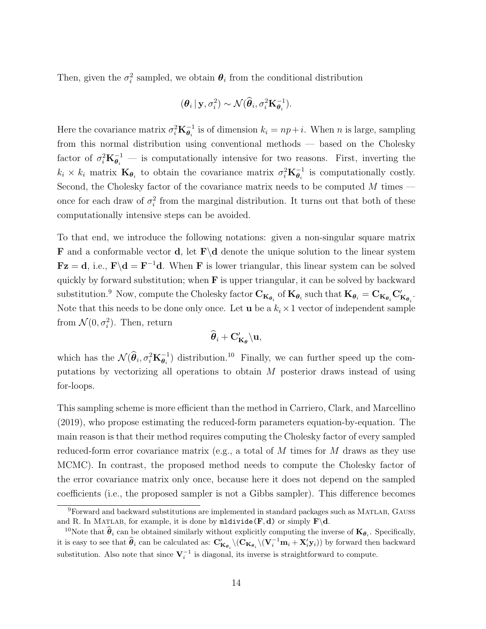Then, given the  $\sigma_i^2$  sampled, we obtain  $\theta_i$  from the conditional distribution

$$
(\boldsymbol{\theta}_i | \mathbf{y}, \sigma_i^2) \sim \mathcal{N}(\widehat{\boldsymbol{\theta}}_i, \sigma_i^2 \mathbf{K}_{\boldsymbol{\theta}_i}^{-1}).
$$

Here the covariance matrix  $\sigma_i^2 \mathbf{K}_{\theta_i}^{-1}$  is of dimension  $k_i = np + i$ . When n is large, sampling from this normal distribution using conventional methods — based on the Cholesky factor of  $\sigma_i^2 \mathbf{K}_{\theta_i}^{-1}$  — is computationally intensive for two reasons. First, inverting the  $k_i \times k_i$  matrix  $\mathbf{K}_{\theta_i}$  to obtain the covariance matrix  $\sigma_i^2 \mathbf{K}_{\theta_i}^{-1}$  is computationally costly. Second, the Cholesky factor of the covariance matrix needs to be computed  $M$  times once for each draw of  $\sigma_i^2$  from the marginal distribution. It turns out that both of these computationally intensive steps can be avoided.

To that end, we introduce the following notations: given a non-singular square matrix **F** and a conformable vector **d**, let  $\mathbf{F}\backslash\mathbf{d}$  denote the unique solution to the linear system  $\mathbf{Fz} = \mathbf{d}$ , i.e.,  $\mathbf{F} \backslash \mathbf{d} = \mathbf{F}^{-1} \mathbf{d}$ . When **F** is lower triangular, this linear system can be solved quickly by forward substitution; when  $\bf{F}$  is upper triangular, it can be solved by backward substitution.<sup>9</sup> Now, compute the Cholesky factor  $\mathbf{C}_{\mathbf{K}_{\boldsymbol{\theta}_i}}$  of  $\mathbf{K}_{\boldsymbol{\theta}_i}$  such that  $\mathbf{K}_{\boldsymbol{\theta}_i} = \mathbf{C}_{\mathbf{K}_{\boldsymbol{\theta}_i}} \mathbf{C}_{\mathbf{K}_{\boldsymbol{\theta}_i}}'$ . Note that this needs to be done only once. Let **u** be a  $k_i \times 1$  vector of independent sample from  $\mathcal{N}(0, \sigma_i^2)$ . Then, return

$$
\widehat{\bm{\theta}}_i + \mathbf{C}_{\mathbf{K}_{\bm{\theta}}}^\prime \backslash \mathbf{u},
$$

which has the  $\mathcal{N}(\hat{\theta}_i, \sigma_i^2 \mathbf{K}_{\theta_i}^{-1})$  distribution.<sup>10</sup> Finally, we can further speed up the computations by vectorizing all operations to obtain M posterior draws instead of using for-loops.

This sampling scheme is more efficient than the method in Carriero, Clark, and Marcellino (2019), who propose estimating the reduced-form parameters equation-by-equation. The main reason is that their method requires computing the Cholesky factor of every sampled reduced-form error covariance matrix (e.g., a total of  $M$  times for  $M$  draws as they use MCMC). In contrast, the proposed method needs to compute the Cholesky factor of the error covariance matrix only once, because here it does not depend on the sampled coefficients (i.e., the proposed sampler is not a Gibbs sampler). This difference becomes

<sup>9</sup>Forward and backward substitutions are implemented in standard packages such as Matlab, Gauss and R. In MATLAB, for example, it is done by  $\mathbf{m}$ ldivide( $\mathbf{F}, \mathbf{d}$ ) or simply  $\mathbf{F}\backslash \mathbf{d}$ .

<sup>&</sup>lt;sup>10</sup>Note that  $\hat{\theta}_i$  can be obtained similarly without explicitly computing the inverse of  $\mathbf{K}_{\theta_i}$ . Specifically, it is easy to see that  $\hat{\theta}_i$  can be calculated as:  $C'_{K_{\theta_i}} \setminus (C_{K_{\theta_i}} \setminus (V_i^{-1}m_i + X_i' y_i))$  by forward then backward substitution. Also note that since  $V_i^{-1}$  is diagonal, its inverse is straightforward to compute.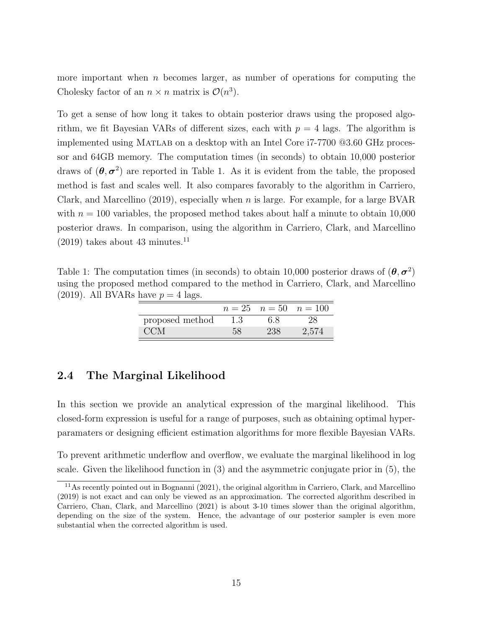more important when  $n$  becomes larger, as number of operations for computing the Cholesky factor of an  $n \times n$  matrix is  $\mathcal{O}(n^3)$ .

To get a sense of how long it takes to obtain posterior draws using the proposed algorithm, we fit Bayesian VARs of different sizes, each with  $p = 4$  lags. The algorithm is implemented using Matlab on a desktop with an Intel Core i7-7700 @3.60 GHz processor and 64GB memory. The computation times (in seconds) to obtain 10,000 posterior draws of  $(\theta, \sigma^2)$  are reported in Table 1. As it is evident from the table, the proposed method is fast and scales well. It also compares favorably to the algorithm in Carriero, Clark, and Marcellino (2019), especially when n is large. For example, for a large BVAR with  $n = 100$  variables, the proposed method takes about half a minute to obtain 10,000 posterior draws. In comparison, using the algorithm in Carriero, Clark, and Marcellino  $(2019)$  takes about 43 minutes.<sup>11</sup>

Table 1: The computation times (in seconds) to obtain 10,000 posterior draws of  $(\theta, \sigma^2)$ using the proposed method compared to the method in Carriero, Clark, and Marcellino (2019). All BVARs have  $p = 4$  lags.

|                 |     |     | $n = 25$ $n = 50$ $n = 100$ |
|-----------------|-----|-----|-----------------------------|
| proposed method | 1.3 | 6.8 | 28                          |
| <b>CCM</b>      | 58  | 238 | 2,574                       |

### 2.4 The Marginal Likelihood

In this section we provide an analytical expression of the marginal likelihood. This closed-form expression is useful for a range of purposes, such as obtaining optimal hyperparamaters or designing efficient estimation algorithms for more flexible Bayesian VARs.

To prevent arithmetic underflow and overflow, we evaluate the marginal likelihood in log scale. Given the likelihood function in (3) and the asymmetric conjugate prior in (5), the

<sup>11</sup>As recently pointed out in Bognanni (2021), the original algorithm in Carriero, Clark, and Marcellino (2019) is not exact and can only be viewed as an approximation. The corrected algorithm described in Carriero, Chan, Clark, and Marcellino (2021) is about 3-10 times slower than the original algorithm, depending on the size of the system. Hence, the advantage of our posterior sampler is even more substantial when the corrected algorithm is used.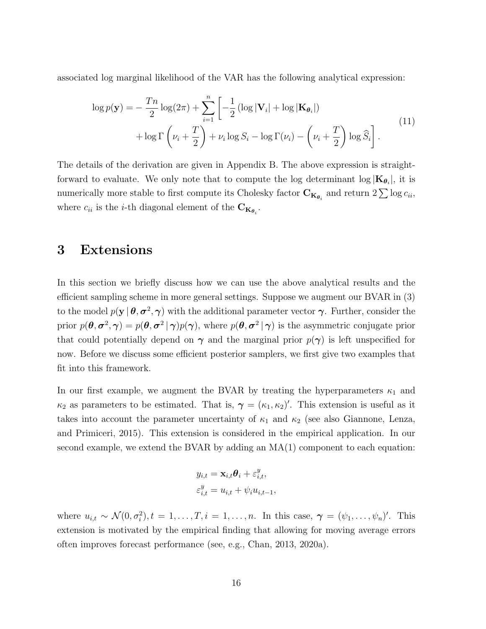associated log marginal likelihood of the VAR has the following analytical expression:

$$
\log p(\mathbf{y}) = -\frac{Tn}{2}\log(2\pi) + \sum_{i=1}^{n} \left[ -\frac{1}{2}\left(\log|\mathbf{V}_i| + \log|\mathbf{K}_{\theta_i}|\right) + \log\Gamma\left(\nu_i + \frac{T}{2}\right) + \nu_i\log S_i - \log\Gamma(\nu_i) - \left(\nu_i + \frac{T}{2}\right)\log\widehat{S}_i\right].
$$
\n(11)

The details of the derivation are given in Appendix B. The above expression is straightforward to evaluate. We only note that to compute the log determinant  $\log |\mathbf{K}_{\theta_i}|$ , it is numerically more stable to first compute its Cholesky factor  $\mathbf{C}_{\mathbf{K}_{\theta_i}}$  and return  $2\sum \log c_{ii}$ , where  $c_{ii}$  is the *i*-th diagonal element of the  $\mathbf{C}_{\mathbf{K}_{\boldsymbol{\theta}_i}}$ .

### 3 Extensions

In this section we briefly discuss how we can use the above analytical results and the efficient sampling scheme in more general settings. Suppose we augment our BVAR in (3) to the model  $p(y | \theta, \sigma^2, \gamma)$  with the additional parameter vector  $\gamma$ . Further, consider the prior  $p(\theta, \sigma^2, \gamma) = p(\theta, \sigma^2 | \gamma) p(\gamma)$ , where  $p(\theta, \sigma^2 | \gamma)$  is the asymmetric conjugate prior that could potentially depend on  $\gamma$  and the marginal prior  $p(\gamma)$  is left unspecified for now. Before we discuss some efficient posterior samplers, we first give two examples that fit into this framework.

In our first example, we augment the BVAR by treating the hyperparameters  $\kappa_1$  and  $\kappa_2$  as parameters to be estimated. That is,  $\gamma = (\kappa_1, \kappa_2)'$ . This extension is useful as it takes into account the parameter uncertainty of  $\kappa_1$  and  $\kappa_2$  (see also Giannone, Lenza, and Primiceri, 2015). This extension is considered in the empirical application. In our second example, we extend the BVAR by adding an  $MA(1)$  component to each equation:

$$
y_{i,t} = \mathbf{x}_{i,t} \boldsymbol{\theta}_i + \varepsilon_{i,t}^y,
$$
  

$$
\varepsilon_{i,t}^y = u_{i,t} + \psi_i u_{i,t-1},
$$

where  $u_{i,t} \sim \mathcal{N}(0, \sigma_i^2), t = 1, \ldots, T, i = 1, \ldots, n$ . In this case,  $\boldsymbol{\gamma} = (\psi_1, \ldots, \psi_n)'$ . This extension is motivated by the empirical finding that allowing for moving average errors often improves forecast performance (see, e.g., Chan, 2013, 2020a).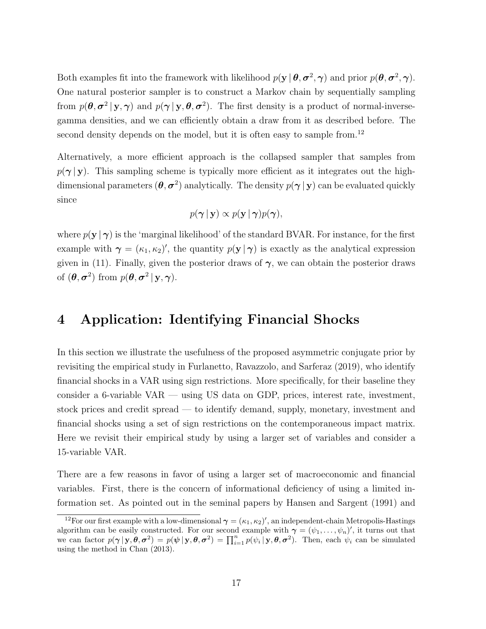Both examples fit into the framework with likelihood  $p(y | \theta, \sigma^2, \gamma)$  and prior  $p(\theta, \sigma^2, \gamma)$ . One natural posterior sampler is to construct a Markov chain by sequentially sampling from  $p(\theta, \sigma^2 | y, \gamma)$  and  $p(\gamma | y, \theta, \sigma^2)$ . The first density is a product of normal-inversegamma densities, and we can efficiently obtain a draw from it as described before. The second density depends on the model, but it is often easy to sample from.<sup>12</sup>

Alternatively, a more efficient approach is the collapsed sampler that samples from  $p(\gamma | y)$ . This sampling scheme is typically more efficient as it integrates out the highdimensional parameters  $(\theta, \sigma^2)$  analytically. The density  $p(\gamma | y)$  can be evaluated quickly since

$$
p(\boldsymbol{\gamma} \,|\, \mathbf{y}) \propto p(\mathbf{y} \,|\, \boldsymbol{\gamma}) p(\boldsymbol{\gamma}),
$$

where  $p(\mathbf{y} \mid \boldsymbol{\gamma})$  is the 'marginal likelihood' of the standard BVAR. For instance, for the first example with  $\gamma = (\kappa_1, \kappa_2)'$ , the quantity  $p(\mathbf{y} | \gamma)$  is exactly as the analytical expression given in (11). Finally, given the posterior draws of  $\gamma$ , we can obtain the posterior draws of  $(\theta, \sigma^2)$  from  $p(\theta, \sigma^2 | y, \gamma)$ .

### 4 Application: Identifying Financial Shocks

In this section we illustrate the usefulness of the proposed asymmetric conjugate prior by revisiting the empirical study in Furlanetto, Ravazzolo, and Sarferaz (2019), who identify financial shocks in a VAR using sign restrictions. More specifically, for their baseline they consider a 6-variable VAR — using US data on GDP, prices, interest rate, investment, stock prices and credit spread — to identify demand, supply, monetary, investment and financial shocks using a set of sign restrictions on the contemporaneous impact matrix. Here we revisit their empirical study by using a larger set of variables and consider a 15-variable VAR.

There are a few reasons in favor of using a larger set of macroeconomic and financial variables. First, there is the concern of informational deficiency of using a limited information set. As pointed out in the seminal papers by Hansen and Sargent (1991) and

<sup>&</sup>lt;sup>12</sup>For our first example with a low-dimensional  $\gamma = (\kappa_1, \kappa_2)'$ , an independent-chain Metropolis-Hastings algorithm can be easily constructed. For our second example with  $\gamma = (\psi_1, \dots, \psi_n)'$ , it turns out that we can factor  $p(\boldsymbol{\gamma} | \mathbf{y}, \boldsymbol{\theta}, \sigma^2) = p(\boldsymbol{\psi} | \mathbf{y}, \boldsymbol{\theta}, \sigma^2) = \prod_{i=1}^n p(\psi_i | \mathbf{y}, \boldsymbol{\theta}, \sigma^2)$ . Then, each  $\psi_i$  can be simulated using the method in Chan (2013).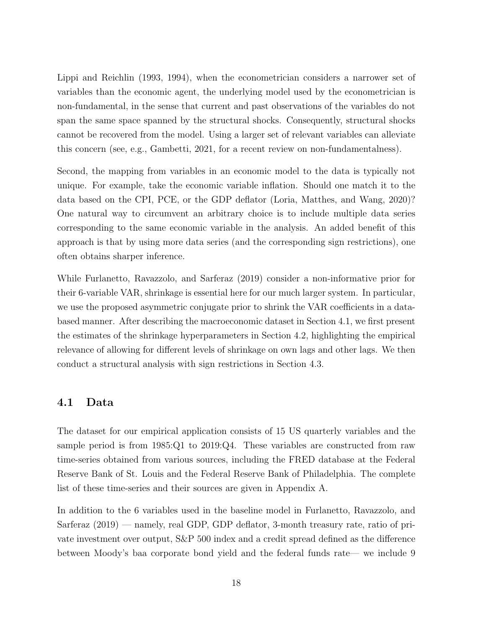Lippi and Reichlin (1993, 1994), when the econometrician considers a narrower set of variables than the economic agent, the underlying model used by the econometrician is non-fundamental, in the sense that current and past observations of the variables do not span the same space spanned by the structural shocks. Consequently, structural shocks cannot be recovered from the model. Using a larger set of relevant variables can alleviate this concern (see, e.g., Gambetti, 2021, for a recent review on non-fundamentalness).

Second, the mapping from variables in an economic model to the data is typically not unique. For example, take the economic variable inflation. Should one match it to the data based on the CPI, PCE, or the GDP deflator (Loria, Matthes, and Wang, 2020)? One natural way to circumvent an arbitrary choice is to include multiple data series corresponding to the same economic variable in the analysis. An added benefit of this approach is that by using more data series (and the corresponding sign restrictions), one often obtains sharper inference.

While Furlanetto, Ravazzolo, and Sarferaz (2019) consider a non-informative prior for their 6-variable VAR, shrinkage is essential here for our much larger system. In particular, we use the proposed asymmetric conjugate prior to shrink the VAR coefficients in a databased manner. After describing the macroeconomic dataset in Section 4.1, we first present the estimates of the shrinkage hyperparameters in Section 4.2, highlighting the empirical relevance of allowing for different levels of shrinkage on own lags and other lags. We then conduct a structural analysis with sign restrictions in Section 4.3.

#### 4.1 Data

The dataset for our empirical application consists of 15 US quarterly variables and the sample period is from 1985:Q1 to 2019:Q4. These variables are constructed from raw time-series obtained from various sources, including the FRED database at the Federal Reserve Bank of St. Louis and the Federal Reserve Bank of Philadelphia. The complete list of these time-series and their sources are given in Appendix A.

In addition to the 6 variables used in the baseline model in Furlanetto, Ravazzolo, and Sarferaz (2019) — namely, real GDP, GDP deflator, 3-month treasury rate, ratio of private investment over output, S&P 500 index and a credit spread defined as the difference between Moody's baa corporate bond yield and the federal funds rate— we include 9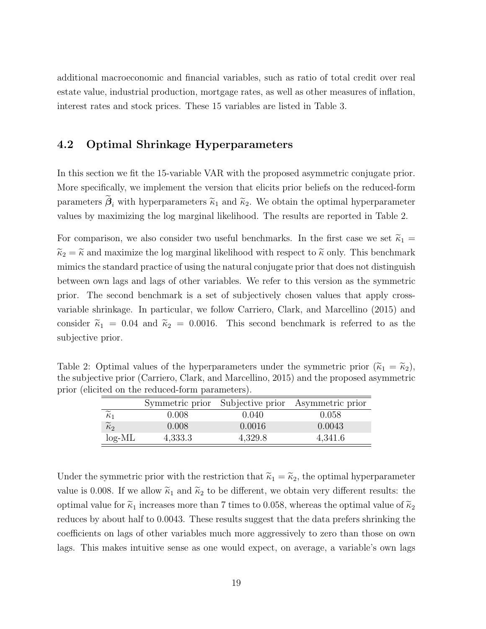additional macroeconomic and financial variables, such as ratio of total credit over real estate value, industrial production, mortgage rates, as well as other measures of inflation, interest rates and stock prices. These 15 variables are listed in Table 3.

### 4.2 Optimal Shrinkage Hyperparameters

In this section we fit the 15-variable VAR with the proposed asymmetric conjugate prior. More specifically, we implement the version that elicits prior beliefs on the reduced-form parameters  $\beta_i$  with hyperparameters  $\tilde{\kappa}_1$  and  $\tilde{\kappa}_2$ . We obtain the optimal hyperparameter values by maximizing the log marginal likelihood. The results are reported in Table 2.

For comparison, we also consider two useful benchmarks. In the first case we set  $\tilde{\kappa}_1$  =  $\widetilde{\kappa}_2 = \widetilde{\kappa}$  and maximize the log marginal likelihood with respect to  $\widetilde{\kappa}$  only. This benchmark mimics the standard practice of using the natural conjugate prior that does not distinguish between own lags and lags of other variables. We refer to this version as the symmetric prior. The second benchmark is a set of subjectively chosen values that apply crossvariable shrinkage. In particular, we follow Carriero, Clark, and Marcellino (2015) and consider  $\tilde{\kappa}_1 = 0.04$  and  $\tilde{\kappa}_2 = 0.0016$ . This second benchmark is referred to as the subjective prior.

Table 2: Optimal values of the hyperparameters under the symmetric prior  $(\tilde{\kappa}_1 = \tilde{\kappa}_2)$ , the subjective prior (Carriero, Clark, and Marcellino, 2015) and the proposed asymmetric prior (elicited on the reduced-form parameters).

|                        |         |         | Symmetric prior Subjective prior Asymmetric prior |
|------------------------|---------|---------|---------------------------------------------------|
| $\sim$<br>$\kappa_1$   | 0.008   | 0.040   | 0.058                                             |
| $\widetilde{\kappa}_2$ | 0.008   | 0.0016  | 0.0043                                            |
| $log-ML$               | 4,333.3 | 4,329.8 | 4,341.6                                           |

Under the symmetric prior with the restriction that  $\tilde{\kappa}_1 = \tilde{\kappa}_2$ , the optimal hyperparameter value is 0.008. If we allow  $\tilde{\kappa}_1$  and  $\tilde{\kappa}_2$  to be different, we obtain very different results: the optimal value for  $\tilde{\kappa}_1$  increases more than 7 times to 0.058, whereas the optimal value of  $\tilde{\kappa}_2$ reduces by about half to 0.0043. These results suggest that the data prefers shrinking the coefficients on lags of other variables much more aggressively to zero than those on own lags. This makes intuitive sense as one would expect, on average, a variable's own lags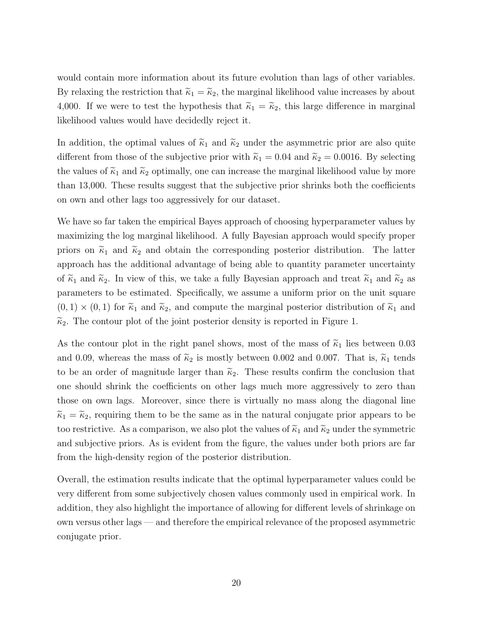would contain more information about its future evolution than lags of other variables. By relaxing the restriction that  $\tilde{\kappa}_1 = \tilde{\kappa}_2$ , the marginal likelihood value increases by about 4,000. If we were to test the hypothesis that  $\tilde{\kappa}_1 = \tilde{\kappa}_2$ , this large difference in marginal likelihood values would have decidedly reject it.

In addition, the optimal values of  $\tilde{\kappa}_1$  and  $\tilde{\kappa}_2$  under the asymmetric prior are also quite different from those of the subjective prior with  $\tilde{\kappa}_1 = 0.04$  and  $\tilde{\kappa}_2 = 0.0016$ . By selecting the values of  $\tilde{\kappa}_1$  and  $\tilde{\kappa}_2$  optimally, one can increase the marginal likelihood value by more than 13,000. These results suggest that the subjective prior shrinks both the coefficients on own and other lags too aggressively for our dataset.

We have so far taken the empirical Bayes approach of choosing hyperparameter values by maximizing the log marginal likelihood. A fully Bayesian approach would specify proper priors on  $\tilde{\kappa}_1$  and  $\tilde{\kappa}_2$  and obtain the corresponding posterior distribution. The latter approach has the additional advantage of being able to quantity parameter uncertainty of  $\tilde{\kappa}_1$  and  $\tilde{\kappa}_2$ . In view of this, we take a fully Bayesian approach and treat  $\tilde{\kappa}_1$  and  $\tilde{\kappa}_2$  as parameters to be estimated. Specifically, we assume a uniform prior on the unit square  $(0, 1) \times (0, 1)$  for  $\tilde{\kappa}_1$  and  $\tilde{\kappa}_2$ , and compute the marginal posterior distribution of  $\tilde{\kappa}_1$  and  $\widetilde{\kappa}_2$ . The contour plot of the joint posterior density is reported in Figure 1.

As the contour plot in the right panel shows, most of the mass of  $\tilde{\kappa}_1$  lies between 0.03 and 0.09, whereas the mass of  $\tilde{\kappa}_2$  is mostly between 0.002 and 0.007. That is,  $\tilde{\kappa}_1$  tends to be an order of magnitude larger than  $\tilde{\kappa}_2$ . These results confirm the conclusion that one should shrink the coefficients on other lags much more aggressively to zero than those on own lags. Moreover, since there is virtually no mass along the diagonal line  $\tilde{\kappa}_1 = \tilde{\kappa}_2$ , requiring them to be the same as in the natural conjugate prior appears to be too restrictive. As a comparison, we also plot the values of  $\tilde{\kappa}_1$  and  $\tilde{\kappa}_2$  under the symmetric and subjective priors. As is evident from the figure, the values under both priors are far from the high-density region of the posterior distribution.

Overall, the estimation results indicate that the optimal hyperparameter values could be very different from some subjectively chosen values commonly used in empirical work. In addition, they also highlight the importance of allowing for different levels of shrinkage on own versus other lags — and therefore the empirical relevance of the proposed asymmetric conjugate prior.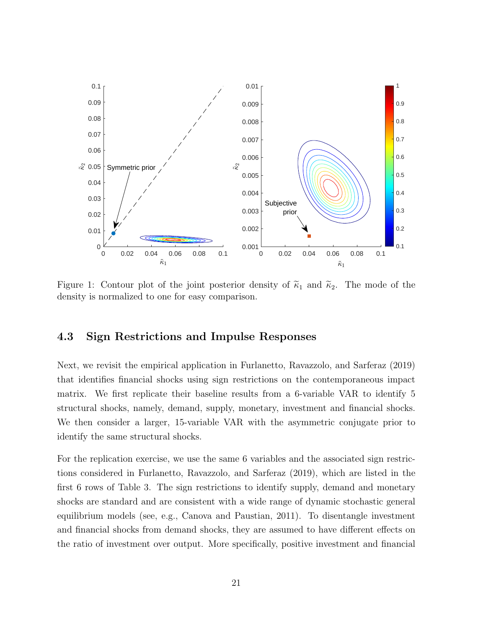

Figure 1: Contour plot of the joint posterior density of  $\tilde{\kappa}_1$  and  $\tilde{\kappa}_2$ . The mode of the density is normalized to one for easy comparison.

#### 4.3 Sign Restrictions and Impulse Responses

Next, we revisit the empirical application in Furlanetto, Ravazzolo, and Sarferaz (2019) that identifies financial shocks using sign restrictions on the contemporaneous impact matrix. We first replicate their baseline results from a 6-variable VAR to identify 5 structural shocks, namely, demand, supply, monetary, investment and financial shocks. We then consider a larger, 15-variable VAR with the asymmetric conjugate prior to identify the same structural shocks.

For the replication exercise, we use the same 6 variables and the associated sign restrictions considered in Furlanetto, Ravazzolo, and Sarferaz (2019), which are listed in the first 6 rows of Table 3. The sign restrictions to identify supply, demand and monetary shocks are standard and are consistent with a wide range of dynamic stochastic general equilibrium models (see, e.g., Canova and Paustian, 2011). To disentangle investment and financial shocks from demand shocks, they are assumed to have different effects on the ratio of investment over output. More specifically, positive investment and financial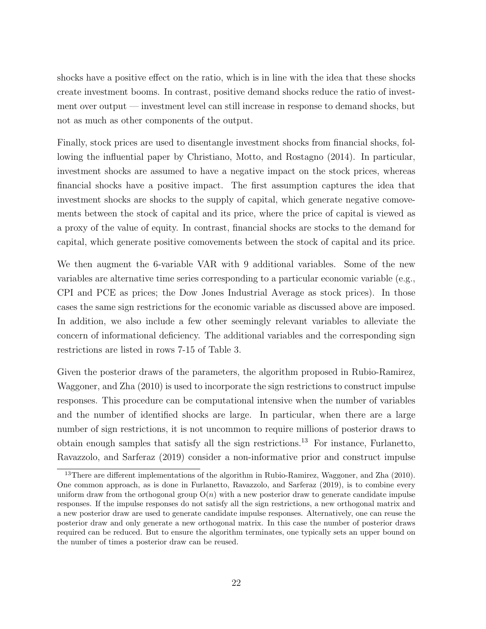shocks have a positive effect on the ratio, which is in line with the idea that these shocks create investment booms. In contrast, positive demand shocks reduce the ratio of investment over output — investment level can still increase in response to demand shocks, but not as much as other components of the output.

Finally, stock prices are used to disentangle investment shocks from financial shocks, following the influential paper by Christiano, Motto, and Rostagno (2014). In particular, investment shocks are assumed to have a negative impact on the stock prices, whereas financial shocks have a positive impact. The first assumption captures the idea that investment shocks are shocks to the supply of capital, which generate negative comovements between the stock of capital and its price, where the price of capital is viewed as a proxy of the value of equity. In contrast, financial shocks are stocks to the demand for capital, which generate positive comovements between the stock of capital and its price.

We then augment the 6-variable VAR with 9 additional variables. Some of the new variables are alternative time series corresponding to a particular economic variable (e.g., CPI and PCE as prices; the Dow Jones Industrial Average as stock prices). In those cases the same sign restrictions for the economic variable as discussed above are imposed. In addition, we also include a few other seemingly relevant variables to alleviate the concern of informational deficiency. The additional variables and the corresponding sign restrictions are listed in rows 7-15 of Table 3.

Given the posterior draws of the parameters, the algorithm proposed in Rubio-Ramirez, Waggoner, and Zha (2010) is used to incorporate the sign restrictions to construct impulse responses. This procedure can be computational intensive when the number of variables and the number of identified shocks are large. In particular, when there are a large number of sign restrictions, it is not uncommon to require millions of posterior draws to obtain enough samples that satisfy all the sign restrictions.<sup>13</sup> For instance, Furlanetto, Ravazzolo, and Sarferaz (2019) consider a non-informative prior and construct impulse

<sup>&</sup>lt;sup>13</sup>There are different implementations of the algorithm in Rubio-Ramirez, Waggoner, and Zha (2010). One common approach, as is done in Furlanetto, Ravazzolo, and Sarferaz (2019), is to combine every uniform draw from the orthogonal group  $O(n)$  with a new posterior draw to generate candidate impulse responses. If the impulse responses do not satisfy all the sign restrictions, a new orthogonal matrix and a new posterior draw are used to generate candidate impulse responses. Alternatively, one can reuse the posterior draw and only generate a new orthogonal matrix. In this case the number of posterior draws required can be reduced. But to ensure the algorithm terminates, one typically sets an upper bound on the number of times a posterior draw can be reused.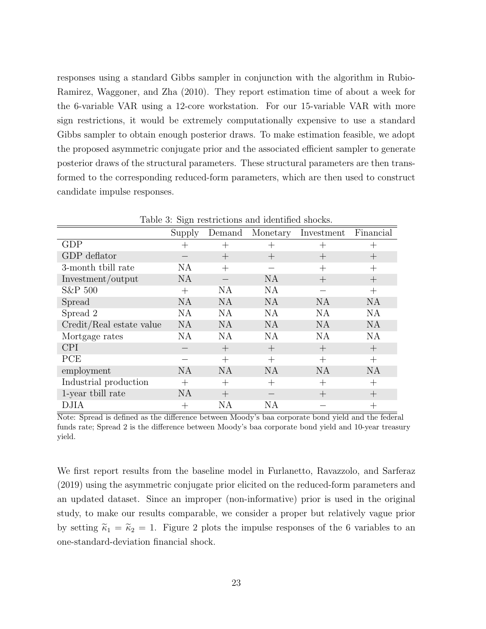responses using a standard Gibbs sampler in conjunction with the algorithm in Rubio-Ramirez, Waggoner, and Zha (2010). They report estimation time of about a week for the 6-variable VAR using a 12-core workstation. For our 15-variable VAR with more sign restrictions, it would be extremely computationally expensive to use a standard Gibbs sampler to obtain enough posterior draws. To make estimation feasible, we adopt the proposed asymmetric conjugate prior and the associated efficient sampler to generate posterior draws of the structural parameters. These structural parameters are then transformed to the corresponding reduced-form parameters, which are then used to construct candidate impulse responses.

| rapid 9. Digit resulted only and rechtance shocks.<br>Financial |           |           |           |                    |                    |
|-----------------------------------------------------------------|-----------|-----------|-----------|--------------------|--------------------|
|                                                                 | Supply    | Demand    | Monetary  | Investment         |                    |
| <b>GDP</b>                                                      | $^+$      |           |           | $^+$               | $\pm$              |
| GDP deflator                                                    |           | $^{+}$    | $^{+}$    | $\pm$              | $^{+}$             |
| 3-month thill rate                                              | NA        | $^{+}$    |           | $^{+}$             | $^{+}$             |
| Investment/output                                               | <b>NA</b> |           | <b>NA</b> | $^{+}$             | $\pm$              |
| S&P 500                                                         | $^{+}$    | NA        | <b>NA</b> |                    | $^{+}$             |
| Spread                                                          | <b>NA</b> | <b>NA</b> | <b>NA</b> | <b>NA</b>          | <b>NA</b>          |
| Spread 2                                                        | <b>NA</b> | <b>NA</b> | NA        | NA                 | <b>NA</b>          |
| Credit/Real estate value                                        | <b>NA</b> | <b>NA</b> | <b>NA</b> | <b>NA</b>          | <b>NA</b>          |
| Mortgage rates                                                  | NA        | NA        | NA        | NA                 | <b>NA</b>          |
| <b>CPI</b>                                                      |           | $^{+}$    | $^{+}$    | $^{+}$             | $^{+}$             |
| PCE                                                             |           | $^{+}$    | $^{+}$    | $^{+}$             | $^{+}$             |
| employment                                                      | <b>NA</b> | <b>NA</b> | <b>NA</b> | <b>NA</b>          | <b>NA</b>          |
| Industrial production                                           | $^{+}$    | $^{+}$    | $^{+}$    | $\hspace{0.1mm} +$ | $\hspace{0.1mm} +$ |
| 1-year thill rate                                               | NA        | $^{+}$    |           | $^{+}$             | $\pm$              |
| DJIA                                                            | $^+$      | ΝA        | ΝA        |                    | $\!+\!$            |

Table 3: Sign restrictions and identified shocks.

Note: Spread is defined as the difference between Moody's baa corporate bond yield and the federal funds rate; Spread 2 is the difference between Moody's baa corporate bond yield and 10-year treasury yield.

We first report results from the baseline model in Furlanetto, Ravazzolo, and Sarferaz (2019) using the asymmetric conjugate prior elicited on the reduced-form parameters and an updated dataset. Since an improper (non-informative) prior is used in the original study, to make our results comparable, we consider a proper but relatively vague prior by setting  $\widetilde{\kappa}_1 = \widetilde{\kappa}_2 = 1$ . Figure 2 plots the impulse responses of the 6 variables to an one-standard-deviation financial shock.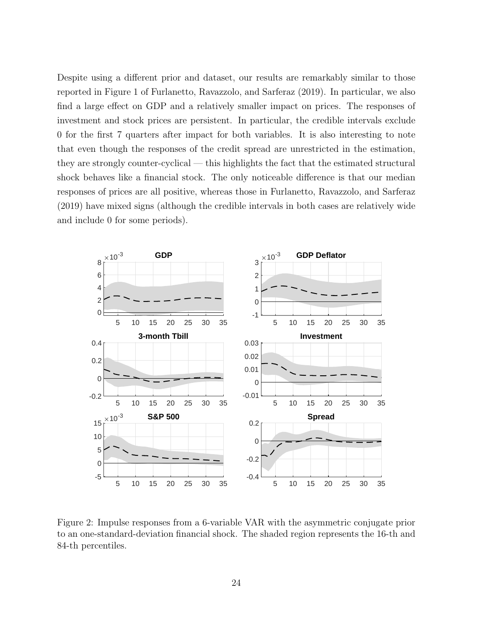Despite using a different prior and dataset, our results are remarkably similar to those reported in Figure 1 of Furlanetto, Ravazzolo, and Sarferaz (2019). In particular, we also find a large effect on GDP and a relatively smaller impact on prices. The responses of investment and stock prices are persistent. In particular, the credible intervals exclude 0 for the first 7 quarters after impact for both variables. It is also interesting to note that even though the responses of the credit spread are unrestricted in the estimation, they are strongly counter-cyclical — this highlights the fact that the estimated structural shock behaves like a financial stock. The only noticeable difference is that our median responses of prices are all positive, whereas those in Furlanetto, Ravazzolo, and Sarferaz (2019) have mixed signs (although the credible intervals in both cases are relatively wide and include 0 for some periods).



Figure 2: Impulse responses from a 6-variable VAR with the asymmetric conjugate prior to an one-standard-deviation financial shock. The shaded region represents the 16-th and 84-th percentiles.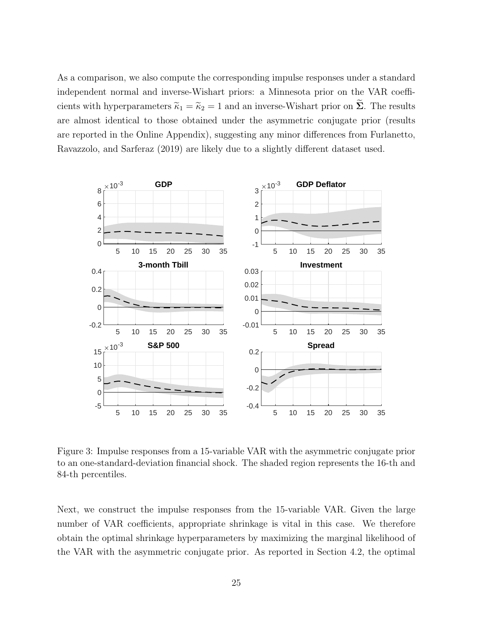As a comparison, we also compute the corresponding impulse responses under a standard independent normal and inverse-Wishart priors: a Minnesota prior on the VAR coefficients with hyperparameters  $\tilde{\kappa}_1 = \tilde{\kappa}_2 = 1$  and an inverse-Wishart prior on  $\tilde{\Sigma}$ . The results are almost identical to those obtained under the asymmetric conjugate prior (results are reported in the Online Appendix), suggesting any minor differences from Furlanetto, Ravazzolo, and Sarferaz (2019) are likely due to a slightly different dataset used.



Figure 3: Impulse responses from a 15-variable VAR with the asymmetric conjugate prior to an one-standard-deviation financial shock. The shaded region represents the 16-th and 84-th percentiles.

Next, we construct the impulse responses from the 15-variable VAR. Given the large number of VAR coefficients, appropriate shrinkage is vital in this case. We therefore obtain the optimal shrinkage hyperparameters by maximizing the marginal likelihood of the VAR with the asymmetric conjugate prior. As reported in Section 4.2, the optimal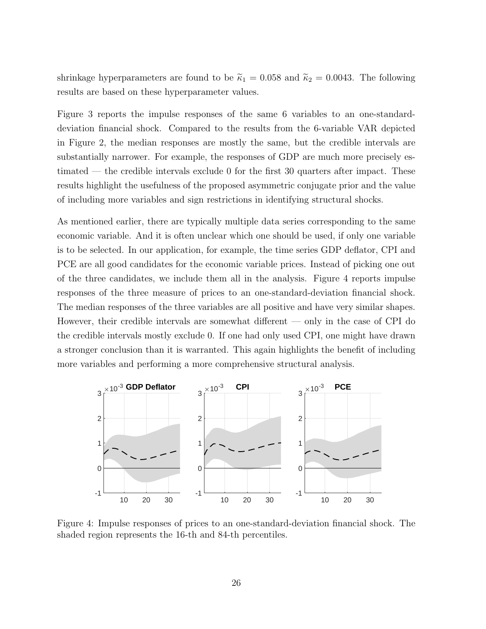shrinkage hyperparameters are found to be  $\tilde{\kappa}_1 = 0.058$  and  $\tilde{\kappa}_2 = 0.0043$ . The following results are based on these hyperparameter values.

Figure 3 reports the impulse responses of the same 6 variables to an one-standarddeviation financial shock. Compared to the results from the 6-variable VAR depicted in Figure 2, the median responses are mostly the same, but the credible intervals are substantially narrower. For example, the responses of GDP are much more precisely estimated — the credible intervals exclude 0 for the first 30 quarters after impact. These results highlight the usefulness of the proposed asymmetric conjugate prior and the value of including more variables and sign restrictions in identifying structural shocks.

As mentioned earlier, there are typically multiple data series corresponding to the same economic variable. And it is often unclear which one should be used, if only one variable is to be selected. In our application, for example, the time series GDP deflator, CPI and PCE are all good candidates for the economic variable prices. Instead of picking one out of the three candidates, we include them all in the analysis. Figure 4 reports impulse responses of the three measure of prices to an one-standard-deviation financial shock. The median responses of the three variables are all positive and have very similar shapes. However, their credible intervals are somewhat different — only in the case of CPI do the credible intervals mostly exclude 0. If one had only used CPI, one might have drawn a stronger conclusion than it is warranted. This again highlights the benefit of including more variables and performing a more comprehensive structural analysis.



Figure 4: Impulse responses of prices to an one-standard-deviation financial shock. The shaded region represents the 16-th and 84-th percentiles.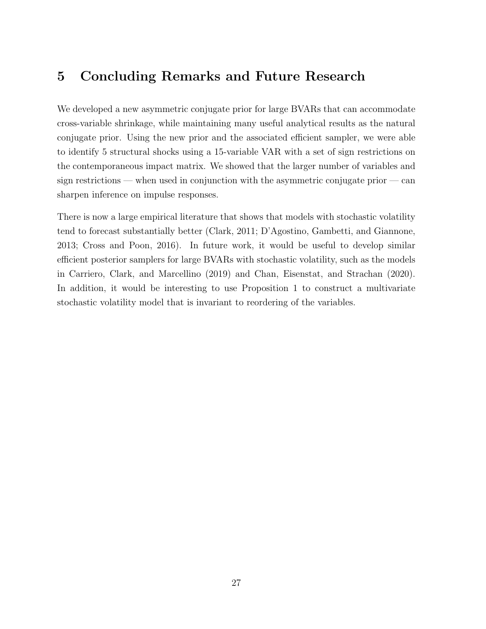## 5 Concluding Remarks and Future Research

We developed a new asymmetric conjugate prior for large BVARs that can accommodate cross-variable shrinkage, while maintaining many useful analytical results as the natural conjugate prior. Using the new prior and the associated efficient sampler, we were able to identify 5 structural shocks using a 15-variable VAR with a set of sign restrictions on the contemporaneous impact matrix. We showed that the larger number of variables and sign restrictions — when used in conjunction with the asymmetric conjugate prior — can sharpen inference on impulse responses.

There is now a large empirical literature that shows that models with stochastic volatility tend to forecast substantially better (Clark, 2011; D'Agostino, Gambetti, and Giannone, 2013; Cross and Poon, 2016). In future work, it would be useful to develop similar efficient posterior samplers for large BVARs with stochastic volatility, such as the models in Carriero, Clark, and Marcellino (2019) and Chan, Eisenstat, and Strachan (2020). In addition, it would be interesting to use Proposition 1 to construct a multivariate stochastic volatility model that is invariant to reordering of the variables.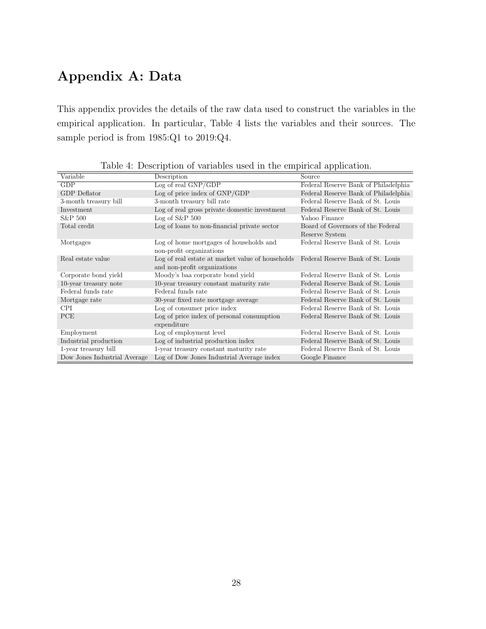## Appendix A: Data

This appendix provides the details of the raw data used to construct the variables in the empirical application. In particular, Table 4 lists the variables and their sources. The sample period is from 1985:Q1 to 2019:Q4.

|                              |                                                                                    | <b>TT</b>                            |
|------------------------------|------------------------------------------------------------------------------------|--------------------------------------|
| Variable                     | Description                                                                        | Source                               |
| GDP                          | Log of real GNP/GDP                                                                | Federal Reserve Bank of Philadelphia |
| GDP Deflator                 | Log of price index of GNP/GDP                                                      | Federal Reserve Bank of Philadelphia |
| 3-month treasury bill        | 3-month treasury bill rate                                                         | Federal Reserve Bank of St. Louis    |
| Investment                   | Log of real gross private domestic investment                                      | Federal Reserve Bank of St. Louis    |
| S&P 500                      | $Log of S\&P 500$                                                                  | Yahoo Finance                        |
| Total credit                 | Log of loans to non-financial private sector                                       | Board of Governors of the Federal    |
|                              |                                                                                    | Reserve System                       |
| Mortgages                    | Log of home mortgages of households and                                            | Federal Reserve Bank of St. Louis    |
|                              | non-profit organizations                                                           |                                      |
| Real estate value            | Log of real estate at market value of households Federal Reserve Bank of St. Louis |                                      |
|                              | and non-profit organizations                                                       |                                      |
| Corporate bond yield         | Moody's baa corporate bond yield                                                   | Federal Reserve Bank of St. Louis    |
| 10-year treasury note        | 10-year treasury constant maturity rate                                            | Federal Reserve Bank of St. Louis    |
| Federal funds rate           | Federal funds rate                                                                 | Federal Reserve Bank of St. Louis    |
| Mortgage rate                | 30-year fixed rate mortgage average                                                | Federal Reserve Bank of St. Louis    |
| CPI                          | Log of consumer price index                                                        | Federal Reserve Bank of St. Louis    |
| PCE                          | Log of price index of personal consumption<br>expenditure                          | Federal Reserve Bank of St. Louis    |
| Employment                   | Log of employment level                                                            | Federal Reserve Bank of St. Louis    |
| Industrial production        | Log of industrial production index                                                 | Federal Reserve Bank of St. Louis    |
|                              |                                                                                    |                                      |
| 1-year treasury bill         | 1-year treasury constant maturity rate                                             | Federal Reserve Bank of St. Louis    |
| Dow Jones Industrial Average | Log of Dow Jones Industrial Average index                                          | Google Finance                       |

Table 4: Description of variables used in the empirical application.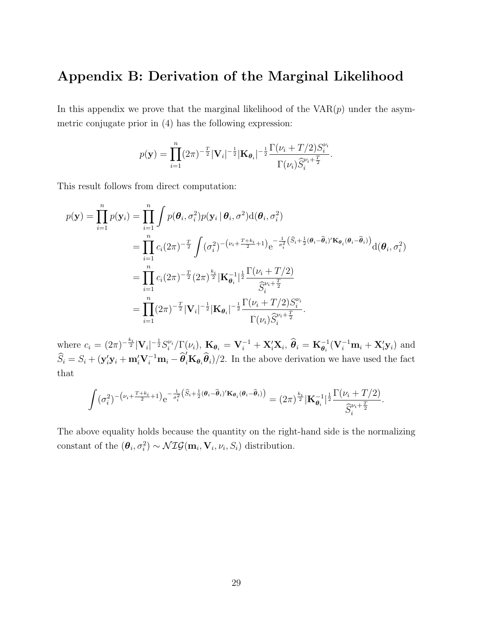### Appendix B: Derivation of the Marginal Likelihood

In this appendix we prove that the marginal likelihood of the  $VAR(p)$  under the asymmetric conjugate prior in (4) has the following expression:

$$
p(\mathbf{y}) = \prod_{i=1}^{n} (2\pi)^{-\frac{T}{2}} |\mathbf{V}_i|^{-\frac{1}{2}} |\mathbf{K}_{\theta_i}|^{-\frac{1}{2}} \frac{\Gamma(\nu_i + T/2) S_i^{\nu_i}}{\Gamma(\nu_i) \widehat{S}_i^{\nu_i + \frac{T}{2}}}.
$$

This result follows from direct computation:

$$
p(\mathbf{y}) = \prod_{i=1}^{n} p(\mathbf{y}_i) = \prod_{i=1}^{n} \int p(\theta_i, \sigma_i^2) p(\mathbf{y}_i | \theta_i, \sigma^2) d(\theta_i, \sigma_i^2)
$$
  
\n
$$
= \prod_{i=1}^{n} c_i (2\pi)^{-\frac{T}{2}} \int (\sigma_i^2)^{-(\nu_i + \frac{T + k_i}{2} + 1)} e^{-\frac{1}{\sigma_i^2} (\hat{S}_i + \frac{1}{2}(\theta_i - \hat{\theta}_i)' \mathbf{K}_{\theta_i}(\theta_i - \hat{\theta}_i))} d(\theta_i, \sigma_i^2)
$$
  
\n
$$
= \prod_{i=1}^{n} c_i (2\pi)^{-\frac{T}{2}} (2\pi)^{\frac{k_i}{2}} |\mathbf{K}_{\theta_i}^{-1}|^{\frac{1}{2}} \frac{\Gamma(\nu_i + T/2)}{\hat{S}_i^{\nu_i + \frac{T}{2}}}
$$
  
\n
$$
= \prod_{i=1}^{n} (2\pi)^{-\frac{T}{2}} |\mathbf{V}_i|^{-\frac{1}{2}} |\mathbf{K}_{\theta_i}|^{-\frac{1}{2}} \frac{\Gamma(\nu_i + T/2) S_i^{\nu_i}}{\Gamma(\nu_i) \hat{S}_i^{\nu_i + \frac{T}{2}}}.
$$

where  $c_i = (2\pi)^{-\frac{k_i}{2}} |\mathbf{V}_i|^{-\frac{1}{2}} S_i^{\nu_i} / \Gamma(\nu_i)$ ,  $\mathbf{K}_{\theta_i} = \mathbf{V}_i^{-1} + \mathbf{X}_i' \mathbf{X}_i$ ,  $\hat{\theta}_i = \mathbf{K}_{\theta_i}^{-1} (\mathbf{V}_i^{-1} \mathbf{m}_i + \mathbf{X}_i' \mathbf{y}_i)$  and  $\hat{S}_i = S_i + (\mathbf{y}_i' \mathbf{y}_i + \mathbf{m}_i' \mathbf{V}_i^{-1} \mathbf{m}_i - \hat{\boldsymbol{\theta}}_i' \mathbf{K}_{\boldsymbol{\theta}_i} \hat{\boldsymbol{\theta}}_i)/2$ . In the above derivation we have used the fact that

$$
\int (\sigma_i^2)^{-\left(\nu_i + \frac{T+k_i}{2} + 1\right)} e^{-\frac{1}{\sigma_i^2} \left(\widehat{S}_i + \frac{1}{2}(\boldsymbol{\theta}_i - \widehat{\boldsymbol{\theta}}_i)' \mathbf{K}_{\boldsymbol{\theta}_i}(\boldsymbol{\theta}_i - \widehat{\boldsymbol{\theta}}_i)\right)} = (2\pi)^{\frac{k_i}{2}} |\mathbf{K}_{\boldsymbol{\theta}_i}^{-1}|^{\frac{1}{2}} \frac{\Gamma(\nu_i + T/2)}{\widehat{S}_i^{\nu_i + \frac{T}{2}}}.
$$

The above equality holds because the quantity on the right-hand side is the normalizing constant of the  $(\theta_i, \sigma_i^2) \sim \mathcal{NIG}(\mathbf{m}_i, \mathbf{V}_i, \nu_i, S_i)$  distribution.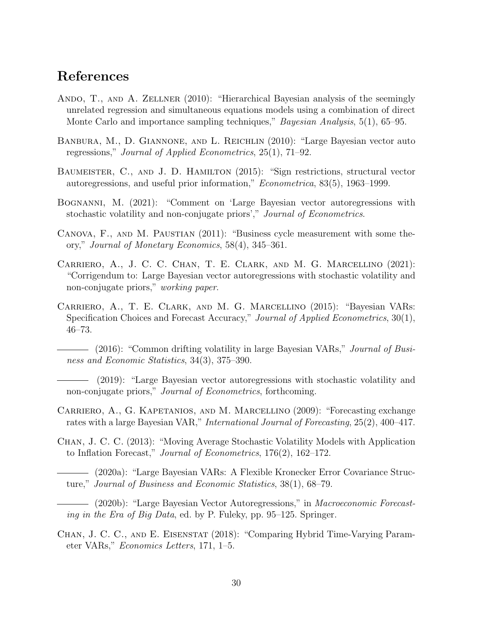### References

- ANDO, T., AND A. ZELLNER (2010): "Hierarchical Bayesian analysis of the seemingly unrelated regression and simultaneous equations models using a combination of direct Monte Carlo and importance sampling techniques," *Bayesian Analysis*, 5(1), 65–95.
- Banbura, M., D. Giannone, and L. Reichlin (2010): "Large Bayesian vector auto regressions," Journal of Applied Econometrics, 25(1), 71–92.
- BAUMEISTER, C., AND J. D. HAMILTON (2015): "Sign restrictions, structural vector autoregressions, and useful prior information," Econometrica, 83(5), 1963–1999.
- Bognanni, M. (2021): "Comment on 'Large Bayesian vector autoregressions with stochastic volatility and non-conjugate priors'," Journal of Econometrics.
- CANOVA, F., AND M. PAUSTIAN (2011): "Business cycle measurement with some theory," Journal of Monetary Economics, 58(4), 345–361.
- Carriero, A., J. C. C. Chan, T. E. Clark, and M. G. Marcellino (2021): "Corrigendum to: Large Bayesian vector autoregressions with stochastic volatility and non-conjugate priors," working paper.
- Carriero, A., T. E. Clark, and M. G. Marcellino (2015): "Bayesian VARs: Specification Choices and Forecast Accuracy," Journal of Applied Econometrics, 30(1), 46–73.
	- (2016): "Common drifting volatility in large Bayesian VARs," *Journal of Busi*ness and Economic Statistics, 34(3), 375–390.
- (2019): "Large Bayesian vector autoregressions with stochastic volatility and non-conjugate priors," *Journal of Econometrics*, forthcoming.
- Carriero, A., G. Kapetanios, and M. Marcellino (2009): "Forecasting exchange rates with a large Bayesian VAR," International Journal of Forecasting, 25(2), 400–417.
- Chan, J. C. C. (2013): "Moving Average Stochastic Volatility Models with Application to Inflation Forecast," Journal of Econometrics, 176(2), 162–172.
- (2020a): "Large Bayesian VARs: A Flexible Kronecker Error Covariance Structure," Journal of Business and Economic Statistics, 38(1), 68–79.
- (2020b): "Large Bayesian Vector Autoregressions," in Macroeconomic Forecasting in the Era of Big Data, ed. by P. Fuleky, pp. 95–125. Springer.
- Chan, J. C. C., and E. Eisenstat (2018): "Comparing Hybrid Time-Varying Parameter VARs," Economics Letters, 171, 1–5.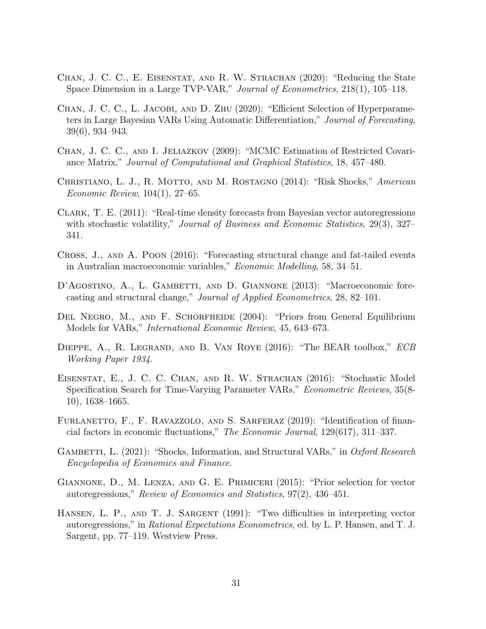- Chan, J. C. C., E. Eisenstat, and R. W. Strachan (2020): "Reducing the State Space Dimension in a Large TVP-VAR," Journal of Econometrics, 218(1), 105–118.
- CHAN, J. C. C., L. JACOBI, AND D. ZHU (2020): "Efficient Selection of Hyperparameters in Large Bayesian VARs Using Automatic Differentiation," Journal of Forecasting, 39(6), 934–943.
- Chan, J. C. C., and I. Jeliazkov (2009): "MCMC Estimation of Restricted Covariance Matrix," Journal of Computational and Graphical Statistics, 18, 457–480.
- CHRISTIANO, L. J., R. MOTTO, AND M. ROSTAGNO (2014): "Risk Shocks," American Economic Review, 104(1), 27–65.
- Clark, T. E. (2011): "Real-time density forecasts from Bayesian vector autoregressions with stochastic volatility," Journal of Business and Economic Statistics, 29(3), 327– 341.
- Cross, J., and A. Poon (2016): "Forecasting structural change and fat-tailed events in Australian macroeconomic variables," Economic Modelling, 58, 34–51.
- D'AGOSTINO, A., L. GAMBETTI, AND D. GIANNONE (2013): "Macroeconomic forecasting and structural change," Journal of Applied Econometrics, 28, 82–101.
- DEL NEGRO, M., AND F. SCHORFHEIDE (2004): "Priors from General Equilibrium Models for VARs," International Economic Review, 45, 643–673.
- DIEPPE, A., R. LEGRAND, AND B. VAN ROYE (2016): "The BEAR toolbox," ECB Working Paper 1934.
- Eisenstat, E., J. C. C. Chan, and R. W. Strachan (2016): "Stochastic Model Specification Search for Time-Varying Parameter VARs," Econometric Reviews, 35(8- 10), 1638–1665.
- FURLANETTO, F., F. RAVAZZOLO, AND S. SARFERAZ (2019): "Identification of financial factors in economic fluctuations," The Economic Journal, 129(617), 311–337.
- GAMBETTI, L. (2021): "Shocks, Information, and Structural VARs," in *Oxford Research* Encyclopedia of Economics and Finance.
- Giannone, D., M. Lenza, and G. E. Primiceri (2015): "Prior selection for vector autoregressions," Review of Economics and Statistics, 97(2), 436–451.
- HANSEN, L. P., AND T. J. SARGENT (1991): "Two difficulties in interpreting vector autoregressions," in Rational Expectations Econometrics, ed. by L. P. Hansen, and T. J. Sargent, pp. 77–119. Westview Press.